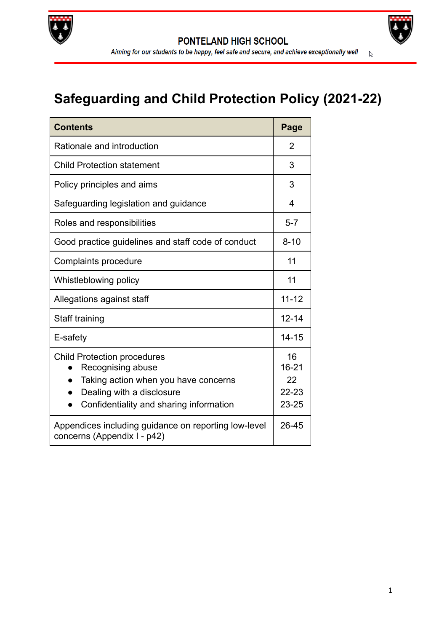



# **Safeguarding and Child Protection Policy (2021-22)**

| <b>Contents</b>                                                                                                                                                                                   | Page                                            |
|---------------------------------------------------------------------------------------------------------------------------------------------------------------------------------------------------|-------------------------------------------------|
| Rationale and introduction                                                                                                                                                                        | 2                                               |
| <b>Child Protection statement</b>                                                                                                                                                                 | 3                                               |
| Policy principles and aims                                                                                                                                                                        | 3                                               |
| Safeguarding legislation and guidance                                                                                                                                                             | 4                                               |
| Roles and responsibilities                                                                                                                                                                        | $5 - 7$                                         |
| Good practice guidelines and staff code of conduct                                                                                                                                                | $8 - 10$                                        |
| Complaints procedure                                                                                                                                                                              | 11                                              |
| Whistleblowing policy                                                                                                                                                                             | 11                                              |
| Allegations against staff                                                                                                                                                                         | $11 - 12$                                       |
| Staff training                                                                                                                                                                                    | $12 - 14$                                       |
| E-safety                                                                                                                                                                                          | $14 - 15$                                       |
| <b>Child Protection procedures</b><br>Recognising abuse<br>Taking action when you have concerns<br>$\bullet$<br>Dealing with a disclosure<br>$\bullet$<br>Confidentiality and sharing information | 16<br>$16 - 21$<br>22<br>$22 - 23$<br>$23 - 25$ |
| Appendices including guidance on reporting low-level<br>concerns (Appendix I - p42)                                                                                                               | 26-45                                           |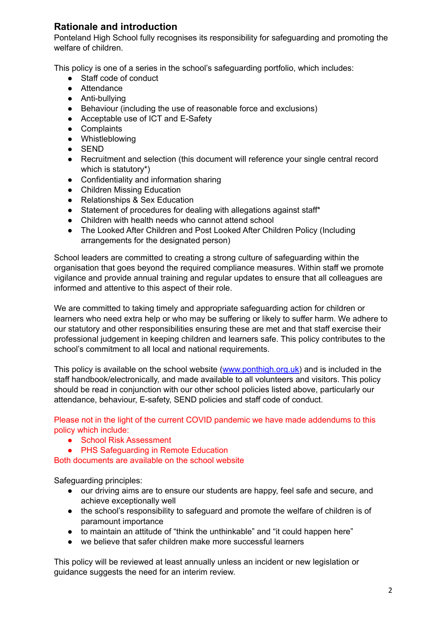# **Rationale and introduction**

Ponteland High School fully recognises its responsibility for safeguarding and promoting the welfare of children.

This policy is one of a series in the school's safeguarding portfolio, which includes:

- Staff code of conduct
- Attendance
- Anti-bullying
- Behaviour (including the use of reasonable force and exclusions)
- Acceptable use of ICT and E-Safety
- Complaints
- Whistleblowing
- SEND
- Recruitment and selection (this document will reference your single central record which is statutory\*)
- Confidentiality and information sharing
- Children Missing Education
- Relationships & Sex Education
- Statement of procedures for dealing with allegations against staff\*
- Children with health needs who cannot attend school
- The Looked After Children and Post Looked After Children Policy (Including arrangements for the designated person)

School leaders are committed to creating a strong culture of safeguarding within the organisation that goes beyond the required compliance measures. Within staff we promote vigilance and provide annual training and regular updates to ensure that all colleagues are informed and attentive to this aspect of their role.

We are committed to taking timely and appropriate safeguarding action for children or learners who need extra help or who may be suffering or likely to suffer harm. We adhere to our statutory and other responsibilities ensuring these are met and that staff exercise their professional judgement in keeping children and learners safe. This policy contributes to the school's commitment to all local and national requirements.

This policy is available on the school website ([www.ponthigh.org.uk\)](http://www.ponthigh.org.uk) and is included in the staff handbook/electronically, and made available to all volunteers and visitors. This policy should be read in conjunction with our other school policies listed above, particularly our attendance, behaviour, E-safety, SEND policies and staff code of conduct.

Please not in the light of the current COVID pandemic we have made addendums to this policy which include:

- School Risk Assessment
- PHS Safeguarding in Remote Education

Both documents are available on the school website

Safeguarding principles:

- our driving aims are to ensure our students are happy, feel safe and secure, and achieve exceptionally well
- the school's responsibility to safeguard and promote the welfare of children is of paramount importance
- to maintain an attitude of "think the unthinkable" and "it could happen here"
- we believe that safer children make more successful learners

This policy will be reviewed at least annually unless an incident or new legislation or guidance suggests the need for an interim review.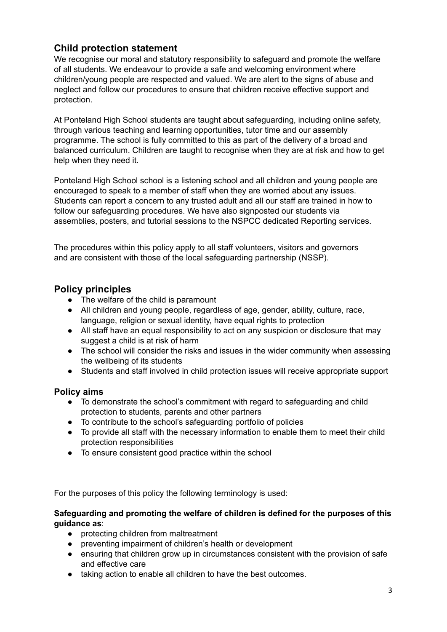# **Child protection statement**

We recognise our moral and statutory responsibility to safeguard and promote the welfare of all students. We endeavour to provide a safe and welcoming environment where children/young people are respected and valued. We are alert to the signs of abuse and neglect and follow our procedures to ensure that children receive effective support and protection.

At Ponteland High School students are taught about safeguarding, including online safety, through various teaching and learning opportunities, tutor time and our assembly programme. The school is fully committed to this as part of the delivery of a broad and balanced curriculum. Children are taught to recognise when they are at risk and how to get help when they need it.

Ponteland High School school is a listening school and all children and young people are encouraged to speak to a member of staff when they are worried about any issues. Students can report a concern to any trusted adult and all our staff are trained in how to follow our safeguarding procedures. We have also signposted our students via assemblies, posters, and tutorial sessions to the NSPCC dedicated Reporting services.

The procedures within this policy apply to all staff volunteers, visitors and governors and are consistent with those of the local safeguarding partnership (NSSP).

# **Policy principles**

- The welfare of the child is paramount
- All children and young people, regardless of age, gender, ability, culture, race, language, religion or sexual identity, have equal rights to protection
- All staff have an equal responsibility to act on any suspicion or disclosure that may suggest a child is at risk of harm
- The school will consider the risks and issues in the wider community when assessing the wellbeing of its students
- Students and staff involved in child protection issues will receive appropriate support

# **Policy aims**

- To demonstrate the school's commitment with regard to safeguarding and child protection to students, parents and other partners
- To contribute to the school's safeguarding portfolio of policies
- To provide all staff with the necessary information to enable them to meet their child protection responsibilities
- To ensure consistent good practice within the school

For the purposes of this policy the following terminology is used:

### **Safeguarding and promoting the welfare of children is defined for the purposes of this guidance as**:

- protecting children from maltreatment
- preventing impairment of children's health or development
- ensuring that children grow up in circumstances consistent with the provision of safe and effective care
- taking action to enable all children to have the best outcomes.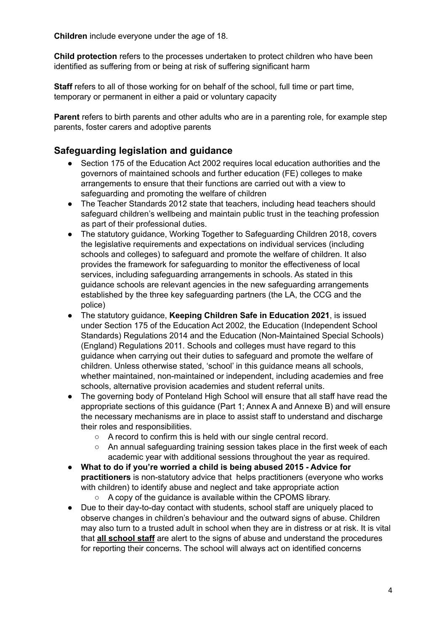**Children** include everyone under the age of 18.

**Child protection** refers to the processes undertaken to protect children who have been identified as suffering from or being at risk of suffering significant harm

**Staff** refers to all of those working for on behalf of the school, full time or part time, temporary or permanent in either a paid or voluntary capacity

**Parent** refers to birth parents and other adults who are in a parenting role, for example step parents, foster carers and adoptive parents

# **Safeguarding legislation and guidance**

- Section 175 of the Education Act 2002 requires local education authorities and the governors of maintained schools and further education (FE) colleges to make arrangements to ensure that their functions are carried out with a view to safeguarding and promoting the welfare of children
- The Teacher Standards 2012 state that teachers, including head teachers should safeguard children's wellbeing and maintain public trust in the teaching profession as part of their professional duties.
- The statutory guidance, Working Together to Safeguarding Children 2018, covers the legislative requirements and expectations on individual services (including schools and colleges) to safeguard and promote the welfare of children. It also provides the framework for safeguarding to monitor the effectiveness of local services, including safeguarding arrangements in schools. As stated in this guidance schools are relevant agencies in the new safeguarding arrangements established by the three key safeguarding partners (the LA, the CCG and the police)
- The statutory guidance, **Keeping Children Safe in Education 2021**, is issued under Section 175 of the Education Act 2002, the Education (Independent School Standards) Regulations 2014 and the Education (Non-Maintained Special Schools) (England) Regulations 2011. Schools and colleges must have regard to this guidance when carrying out their duties to safeguard and promote the welfare of children. Unless otherwise stated, 'school' in this guidance means all schools, whether maintained, non-maintained or independent, including academies and free schools, alternative provision academies and student referral units.
- The governing body of Ponteland High School will ensure that all staff have read the appropriate sections of this guidance (Part 1; Annex A and Annexe B) and will ensure the necessary mechanisms are in place to assist staff to understand and discharge their roles and responsibilities.
	- A record to confirm this is held with our single central record.
	- An annual safeguarding training session takes place in the first week of each academic year with additional sessions throughout the year as required.
- **What to do if you're worried a child is being abused 2015 - Advice for practitioners** is non-statutory advice that helps practitioners (everyone who works with children) to identify abuse and neglect and take appropriate action
	- A copy of the quidance is available within the CPOMS library.
- Due to their day-to-day contact with students, school staff are uniquely placed to observe changes in children's behaviour and the outward signs of abuse. Children may also turn to a trusted adult in school when they are in distress or at risk. It is vital that **all school staff** are alert to the signs of abuse and understand the procedures for reporting their concerns. The school will always act on identified concerns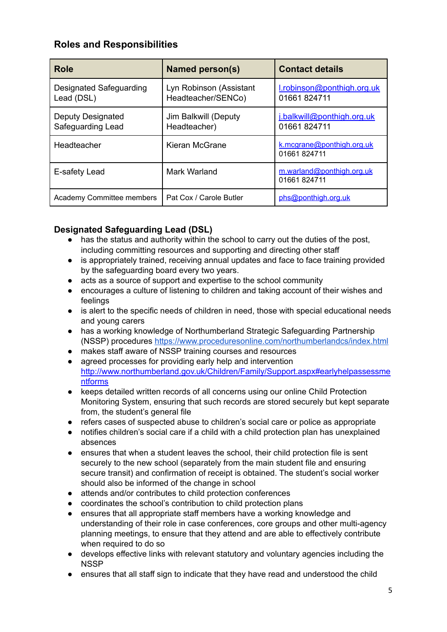# **Roles and Responsibilities**

| Role                                   | <b>Named person(s)</b>                        | <b>Contact details</b>                     |
|----------------------------------------|-----------------------------------------------|--------------------------------------------|
| Designated Safeguarding<br>Lead (DSL)  | Lyn Robinson (Assistant<br>Headteacher/SENCo) | I.robinson@ponthigh.org.uk<br>01661 824711 |
| Deputy Designated<br>Safeguarding Lead | Jim Balkwill (Deputy<br>Headteacher)          | j.balkwill@ponthigh.org.uk<br>01661 824711 |
| Headteacher                            | Kieran McGrane                                | k.mcgrane@ponthigh.org.uk<br>01661824711   |
| E-safety Lead                          | Mark Warland                                  | m.warland@ponthigh.org.uk<br>01661824711   |
| <b>Academy Committee members</b>       | Pat Cox / Carole Butler                       | phs@ponthigh.org.uk                        |

# **Designated Safeguarding Lead (DSL)**

- has the status and authority within the school to carry out the duties of the post, including committing resources and supporting and directing other staff
- is appropriately trained, receiving annual updates and face to face training provided by the safeguarding board every two years.
- acts as a source of support and expertise to the school community
- encourages a culture of listening to children and taking account of their wishes and feelings
- is alert to the specific needs of children in need, those with special educational needs and young carers
- has a working knowledge of Northumberland Strategic Safeguarding Partnership (NSSP) procedures <https://www.proceduresonline.com/northumberlandcs/index.html>
- makes staff aware of NSSP training courses and resources
- agreed processes for providing early help and intervention [http://www.northumberland.gov.uk/Children/Family/Support.aspx#earlyhelpassessme](http://www.northumberland.gov.uk/Children/Family/Support.aspx#earlyhelpassessmentforms) [ntforms](http://www.northumberland.gov.uk/Children/Family/Support.aspx#earlyhelpassessmentforms)
- keeps detailed written records of all concerns using our online Child Protection Monitoring System, ensuring that such records are stored securely but kept separate from, the student's general file
- refers cases of suspected abuse to children's social care or police as appropriate
- notifies children's social care if a child with a child protection plan has unexplained absences
- ensures that when a student leaves the school, their child protection file is sent securely to the new school (separately from the main student file and ensuring secure transit) and confirmation of receipt is obtained. The student's social worker should also be informed of the change in school
- attends and/or contributes to child protection conferences
- coordinates the school's contribution to child protection plans
- ensures that all appropriate staff members have a working knowledge and understanding of their role in case conferences, core groups and other multi-agency planning meetings, to ensure that they attend and are able to effectively contribute when required to do so
- develops effective links with relevant statutory and voluntary agencies including the **NSSP**
- ensures that all staff sign to indicate that they have read and understood the child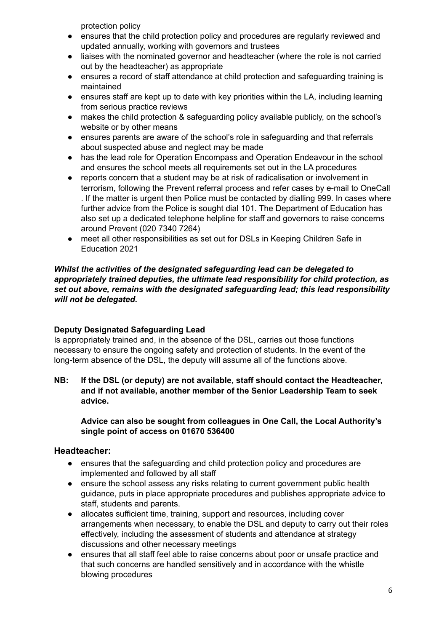protection policy

- ensures that the child protection policy and procedures are regularly reviewed and updated annually, working with governors and trustees
- liaises with the nominated governor and headteacher (where the role is not carried out by the headteacher) as appropriate
- ensures a record of staff attendance at child protection and safeguarding training is maintained
- ensures staff are kept up to date with key priorities within the LA, including learning from serious practice reviews
- makes the child protection & safeguarding policy available publicly, on the school's website or by other means
- ensures parents are aware of the school's role in safeguarding and that referrals about suspected abuse and neglect may be made
- has the lead role for Operation Encompass and Operation Endeavour in the school and ensures the school meets all requirements set out in the LA procedures
- reports concern that a student may be at risk of radicalisation or involvement in terrorism, following the Prevent referral process and refer cases by e-mail to OneCall . If the matter is urgent then Police must be contacted by dialling 999. In cases where further advice from the Police is sought dial 101. The Department of Education has also set up a dedicated telephone helpline for staff and governors to raise concerns around Prevent (020 7340 7264)
- meet all other responsibilities as set out for DSLs in Keeping Children Safe in Education 2021

### *Whilst the activities of the designated safeguarding lead can be delegated to appropriately trained deputies, the ultimate lead responsibility for child protection, as set out above, remains with the designated safeguarding lead; this lead responsibility will not be delegated.*

# **Deputy Designated Safeguarding Lead**

Is appropriately trained and, in the absence of the DSL, carries out those functions necessary to ensure the ongoing safety and protection of students. In the event of the long-term absence of the DSL, the deputy will assume all of the functions above.

**NB: If the DSL (or deputy) are not available, staff should contact the Headteacher, and if not available, another member of the Senior Leadership Team to seek advice.**

# **Advice can also be sought from colleagues in One Call, the Local Authority's single point of access on 01670 536400**

# **Headteacher:**

- ensures that the safeguarding and child protection policy and procedures are implemented and followed by all staff
- ensure the school assess any risks relating to current government public health guidance, puts in place appropriate procedures and publishes appropriate advice to staff, students and parents.
- allocates sufficient time, training, support and resources, including cover arrangements when necessary, to enable the DSL and deputy to carry out their roles effectively, including the assessment of students and attendance at strategy discussions and other necessary meetings
- ensures that all staff feel able to raise concerns about poor or unsafe practice and that such concerns are handled sensitively and in accordance with the whistle blowing procedures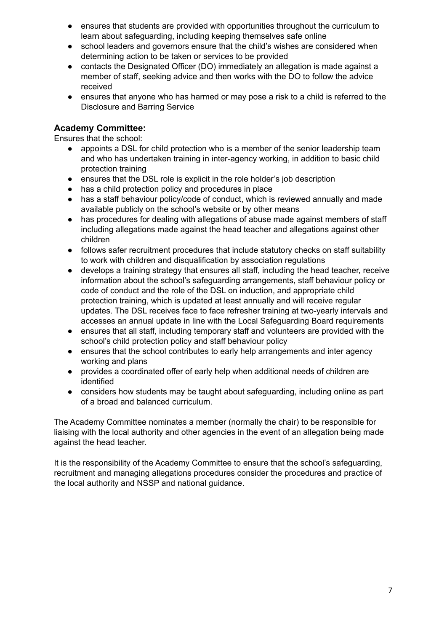- ensures that students are provided with opportunities throughout the curriculum to learn about safeguarding, including keeping themselves safe online
- school leaders and governors ensure that the child's wishes are considered when determining action to be taken or services to be provided
- contacts the Designated Officer (DO) immediately an allegation is made against a member of staff, seeking advice and then works with the DO to follow the advice received
- ensures that anyone who has harmed or may pose a risk to a child is referred to the Disclosure and Barring Service

# **Academy Committee:**

Ensures that the school:

- appoints a DSL for child protection who is a member of the senior leadership team and who has undertaken training in inter-agency working, in addition to basic child protection training
- ensures that the DSL role is explicit in the role holder's job description
- has a child protection policy and procedures in place
- has a staff behaviour policy/code of conduct, which is reviewed annually and made available publicly on the school's website or by other means
- has procedures for dealing with allegations of abuse made against members of staff including allegations made against the head teacher and allegations against other children
- follows safer recruitment procedures that include statutory checks on staff suitability to work with children and disqualification by association regulations
- develops a training strategy that ensures all staff, including the head teacher, receive information about the school's safeguarding arrangements, staff behaviour policy or code of conduct and the role of the DSL on induction, and appropriate child protection training, which is updated at least annually and will receive regular updates. The DSL receives face to face refresher training at two-yearly intervals and accesses an annual update in line with the Local Safeguarding Board requirements
- ensures that all staff, including temporary staff and volunteers are provided with the school's child protection policy and staff behaviour policy
- ensures that the school contributes to early help arrangements and inter agency working and plans
- provides a coordinated offer of early help when additional needs of children are identified
- considers how students may be taught about safeguarding, including online as part of a broad and balanced curriculum.

The Academy Committee nominates a member (normally the chair) to be responsible for liaising with the local authority and other agencies in the event of an allegation being made against the head teacher.

It is the responsibility of the Academy Committee to ensure that the school's safeguarding, recruitment and managing allegations procedures consider the procedures and practice of the local authority and NSSP and national guidance.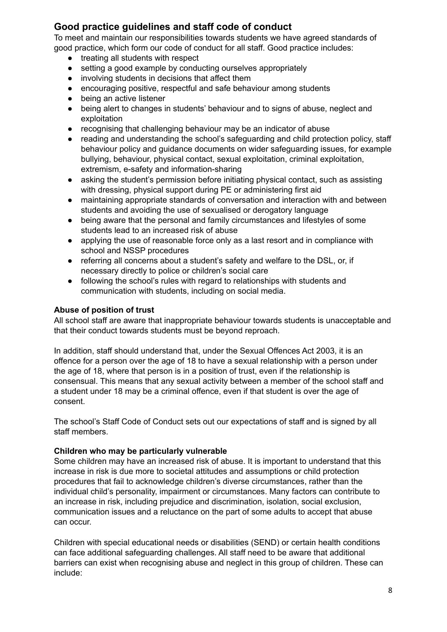# **Good practice guidelines and staff code of conduct**

To meet and maintain our responsibilities towards students we have agreed standards of good practice, which form our code of conduct for all staff. Good practice includes:

- treating all students with respect
- setting a good example by conducting ourselves appropriately
- involving students in decisions that affect them
- encouraging positive, respectful and safe behaviour among students
- being an active listener
- being alert to changes in students' behaviour and to signs of abuse, neglect and exploitation
- recognising that challenging behaviour may be an indicator of abuse
- reading and understanding the school's safeguarding and child protection policy, staff behaviour policy and guidance documents on wider safeguarding issues, for example bullying, behaviour, physical contact, sexual exploitation, criminal exploitation, extremism, e-safety and information-sharing
- asking the student's permission before initiating physical contact, such as assisting with dressing, physical support during PE or administering first aid
- maintaining appropriate standards of conversation and interaction with and between students and avoiding the use of sexualised or derogatory language
- being aware that the personal and family circumstances and lifestyles of some students lead to an increased risk of abuse
- applying the use of reasonable force only as a last resort and in compliance with school and NSSP procedures
- referring all concerns about a student's safety and welfare to the DSL, or, if necessary directly to police or children's social care
- following the school's rules with regard to relationships with students and communication with students, including on social media.

# **Abuse of position of trust**

All school staff are aware that inappropriate behaviour towards students is unacceptable and that their conduct towards students must be beyond reproach.

In addition, staff should understand that, under the Sexual Offences Act 2003, it is an offence for a person over the age of 18 to have a sexual relationship with a person under the age of 18, where that person is in a position of trust, even if the relationship is consensual. This means that any sexual activity between a member of the school staff and a student under 18 may be a criminal offence, even if that student is over the age of consent.

The school's Staff Code of Conduct sets out our expectations of staff and is signed by all staff members.

# **Children who may be particularly vulnerable**

Some children may have an increased risk of abuse. It is important to understand that this increase in risk is due more to societal attitudes and assumptions or child protection procedures that fail to acknowledge children's diverse circumstances, rather than the individual child's personality, impairment or circumstances. Many factors can contribute to an increase in risk, including prejudice and discrimination, isolation, social exclusion, communication issues and a reluctance on the part of some adults to accept that abuse can occur.

Children with special educational needs or disabilities (SEND) or certain health conditions can face additional safeguarding challenges. All staff need to be aware that additional barriers can exist when recognising abuse and neglect in this group of children. These can include: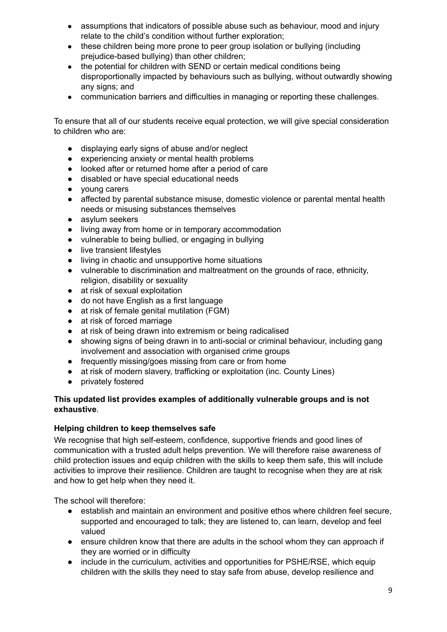- assumptions that indicators of possible abuse such as behaviour, mood and injury relate to the child's condition without further exploration;
- these children being more prone to peer group isolation or bullying (including prejudice-based bullying) than other children;
- the potential for children with SEND or certain medical conditions being disproportionally impacted by behaviours such as bullying, without outwardly showing any signs; and
- communication barriers and difficulties in managing or reporting these challenges.

To ensure that all of our students receive equal protection, we will give special consideration to children who are:

- displaying early signs of abuse and/or neglect
- experiencing anxiety or mental health problems
- looked after or returned home after a period of care
- disabled or have special educational needs
- young carers
- affected by parental substance misuse, domestic violence or parental mental health needs or misusing substances themselves
- asylum seekers
- living away from home or in temporary accommodation
- vulnerable to being bullied, or engaging in bullying
- live transient lifestyles
- living in chaotic and unsupportive home situations
- vulnerable to discrimination and maltreatment on the grounds of race, ethnicity, religion, disability or sexuality
- at risk of sexual exploitation
- do not have English as a first language
- at risk of female genital mutilation (FGM)
- at risk of forced marriage
- at risk of being drawn into extremism or being radicalised
- showing signs of being drawn in to anti-social or criminal behaviour, including gang involvement and association with organised crime groups
- frequently missing/goes missing from care or from home
- at risk of modern slavery, trafficking or exploitation (inc. County Lines)
- privately fostered

### **This updated list provides examples of additionally vulnerable groups and is not exhaustive**.

### **Helping children to keep themselves safe**

We recognise that high self-esteem, confidence, supportive friends and good lines of communication with a trusted adult helps prevention. We will therefore raise awareness of child protection issues and equip children with the skills to keep them safe, this will include activities to improve their resilience. Children are taught to recognise when they are at risk and how to get help when they need it.

The school will therefore:

- establish and maintain an environment and positive ethos where children feel secure, supported and encouraged to talk; they are listened to, can learn, develop and feel valued
- ensure children know that there are adults in the school whom they can approach if they are worried or in difficulty
- include in the curriculum, activities and opportunities for PSHE/RSE, which equip children with the skills they need to stay safe from abuse, develop resilience and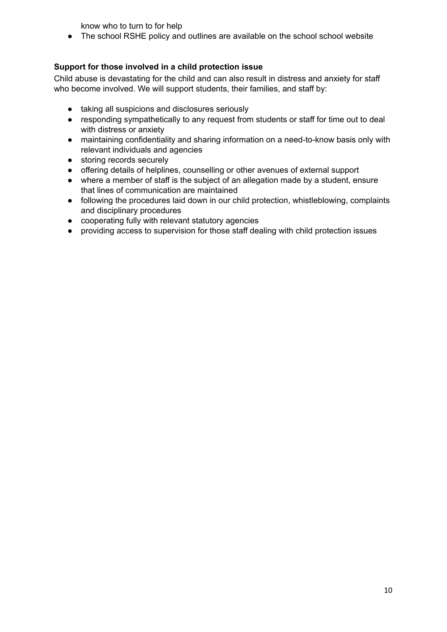know who to turn to for help

● The school RSHE policy and outlines are available on the school school website

# **Support for those involved in a child protection issue**

Child abuse is devastating for the child and can also result in distress and anxiety for staff who become involved. We will support students, their families, and staff by:

- taking all suspicions and disclosures seriously
- responding sympathetically to any request from students or staff for time out to deal with distress or anxiety
- maintaining confidentiality and sharing information on a need-to-know basis only with relevant individuals and agencies
- storing records securely
- offering details of helplines, counselling or other avenues of external support
- where a member of staff is the subject of an allegation made by a student, ensure that lines of communication are maintained
- following the procedures laid down in our child protection, whistleblowing, complaints and disciplinary procedures
- cooperating fully with relevant statutory agencies
- providing access to supervision for those staff dealing with child protection issues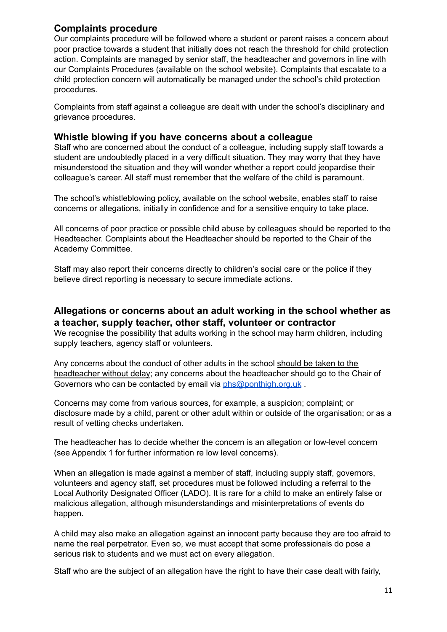# **Complaints procedure**

Our complaints procedure will be followed where a student or parent raises a concern about poor practice towards a student that initially does not reach the threshold for child protection action. Complaints are managed by senior staff, the headteacher and governors in line with our Complaints Procedures (available on the school website). Complaints that escalate to a child protection concern will automatically be managed under the school's child protection procedures.

Complaints from staff against a colleague are dealt with under the school's disciplinary and grievance procedures.

# **Whistle blowing if you have concerns about a colleague**

Staff who are concerned about the conduct of a colleague, including supply staff towards a student are undoubtedly placed in a very difficult situation. They may worry that they have misunderstood the situation and they will wonder whether a report could jeopardise their colleague's career. All staff must remember that the welfare of the child is paramount.

The school's whistleblowing policy, available on the school website, enables staff to raise concerns or allegations, initially in confidence and for a sensitive enquiry to take place.

All concerns of poor practice or possible child abuse by colleagues should be reported to the Headteacher. Complaints about the Headteacher should be reported to the Chair of the Academy Committee.

Staff may also report their concerns directly to children's social care or the police if they believe direct reporting is necessary to secure immediate actions.

# **Allegations or concerns about an adult working in the school whether as a teacher, supply teacher, other staff, volunteer or contractor**

We recognise the possibility that adults working in the school may harm children, including supply teachers, agency staff or volunteers.

Any concerns about the conduct of other adults in the school should be taken to the headteacher without delay; any concerns about the headteacher should go to the Chair of Governors who can be contacted by email via [phs@ponthigh.org.uk](mailto:phs@ponthigh.org.uk) .

Concerns may come from various sources, for example, a suspicion; complaint; or disclosure made by a child, parent or other adult within or outside of the organisation; or as a result of vetting checks undertaken.

The headteacher has to decide whether the concern is an allegation or low-level concern (see Appendix 1 for further information re low level concerns).

When an allegation is made against a member of staff, including supply staff, governors, volunteers and agency staff, set procedures must be followed including a referral to the Local Authority Designated Officer (LADO). It is rare for a child to make an entirely false or malicious allegation, although misunderstandings and misinterpretations of events do happen.

A child may also make an allegation against an innocent party because they are too afraid to name the real perpetrator. Even so, we must accept that some professionals do pose a serious risk to students and we must act on every allegation.

Staff who are the subject of an allegation have the right to have their case dealt with fairly,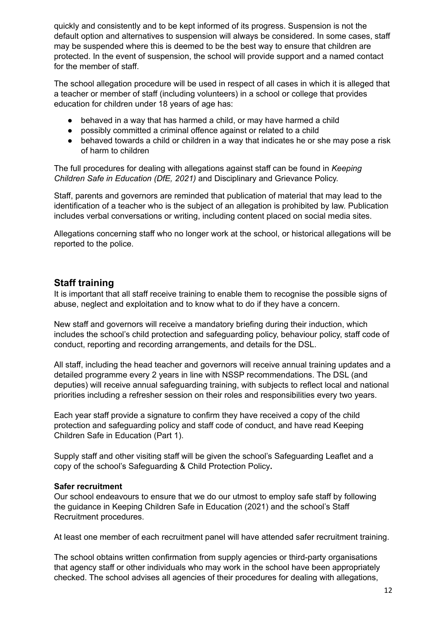quickly and consistently and to be kept informed of its progress. Suspension is not the default option and alternatives to suspension will always be considered. In some cases, staff may be suspended where this is deemed to be the best way to ensure that children are protected. In the event of suspension, the school will provide support and a named contact for the member of staff.

The school allegation procedure will be used in respect of all cases in which it is alleged that a teacher or member of staff (including volunteers) in a school or college that provides education for children under 18 years of age has:

- behaved in a way that has harmed a child, or may have harmed a child
- possibly committed a criminal offence against or related to a child
- behaved towards a child or children in a way that indicates he or she may pose a risk of harm to children

The full procedures for dealing with allegations against staff can be found in *Keeping Children Safe in Education (DfE, 2021)* and Disciplinary and Grievance Policy.

Staff, parents and governors are reminded that publication of material that may lead to the identification of a teacher who is the subject of an allegation is prohibited by law. Publication includes verbal conversations or writing, including content placed on social media sites.

Allegations concerning staff who no longer work at the school, or historical allegations will be reported to the police.

# **Staff training**

It is important that all staff receive training to enable them to recognise the possible signs of abuse, neglect and exploitation and to know what to do if they have a concern.

New staff and governors will receive a mandatory briefing during their induction, which includes the school's child protection and safeguarding policy, behaviour policy, staff code of conduct, reporting and recording arrangements, and details for the DSL.

All staff, including the head teacher and governors will receive annual training updates and a detailed programme every 2 years in line with NSSP recommendations. The DSL (and deputies) will receive annual safeguarding training, with subjects to reflect local and national priorities including a refresher session on their roles and responsibilities every two years.

Each year staff provide a signature to confirm they have received a copy of the child protection and safeguarding policy and staff code of conduct, and have read Keeping Children Safe in Education (Part 1).

Supply staff and other visiting staff will be given the school's Safeguarding Leaflet and a copy of the school's Safeguarding & Child Protection Policy**.**

### **Safer recruitment**

Our school endeavours to ensure that we do our utmost to employ safe staff by following the guidance in Keeping Children Safe in Education (2021) and the school's Staff Recruitment procedures.

At least one member of each recruitment panel will have attended safer recruitment training.

The school obtains written confirmation from supply agencies or third-party organisations that agency staff or other individuals who may work in the school have been appropriately checked. The school advises all agencies of their procedures for dealing with allegations,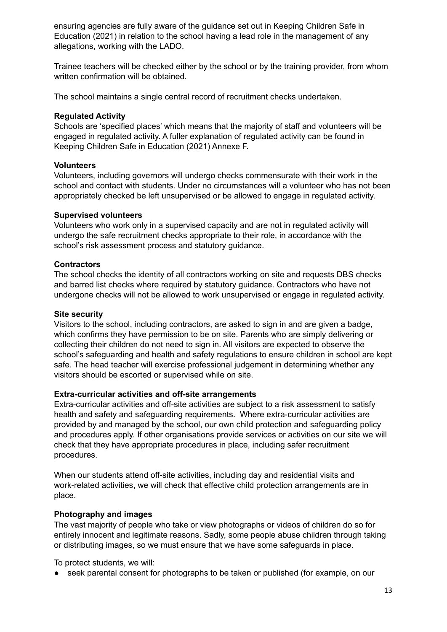ensuring agencies are fully aware of the guidance set out in Keeping Children Safe in Education (2021) in relation to the school having a lead role in the management of any allegations, working with the LADO.

Trainee teachers will be checked either by the school or by the training provider, from whom written confirmation will be obtained.

The school maintains a single central record of recruitment checks undertaken.

#### **Regulated Activity**

Schools are 'specified places' which means that the majority of staff and volunteers will be engaged in regulated activity. A fuller explanation of regulated activity can be found in Keeping Children Safe in Education (2021) Annexe F.

#### **Volunteers**

Volunteers, including governors will undergo checks commensurate with their work in the school and contact with students. Under no circumstances will a volunteer who has not been appropriately checked be left unsupervised or be allowed to engage in regulated activity.

#### **Supervised volunteers**

Volunteers who work only in a supervised capacity and are not in regulated activity will undergo the safe recruitment checks appropriate to their role, in accordance with the school's risk assessment process and statutory guidance.

#### **Contractors**

The school checks the identity of all contractors working on site and requests DBS checks and barred list checks where required by statutory guidance. Contractors who have not undergone checks will not be allowed to work unsupervised or engage in regulated activity.

#### **Site security**

Visitors to the school, including contractors, are asked to sign in and are given a badge, which confirms they have permission to be on site. Parents who are simply delivering or collecting their children do not need to sign in. All visitors are expected to observe the school's safeguarding and health and safety regulations to ensure children in school are kept safe. The head teacher will exercise professional judgement in determining whether any visitors should be escorted or supervised while on site.

### **Extra-curricular activities and off-site arrangements**

Extra-curricular activities and off-site activities are subject to a risk assessment to satisfy health and safety and safeguarding requirements. Where extra-curricular activities are provided by and managed by the school, our own child protection and safeguarding policy and procedures apply. If other organisations provide services or activities on our site we will check that they have appropriate procedures in place, including safer recruitment procedures.

When our students attend off-site activities, including day and residential visits and work-related activities, we will check that effective child protection arrangements are in place.

### **Photography and images**

The vast majority of people who take or view photographs or videos of children do so for entirely innocent and legitimate reasons. Sadly, some people abuse children through taking or distributing images, so we must ensure that we have some safeguards in place.

To protect students, we will:

● seek parental consent for photographs to be taken or published (for example, on our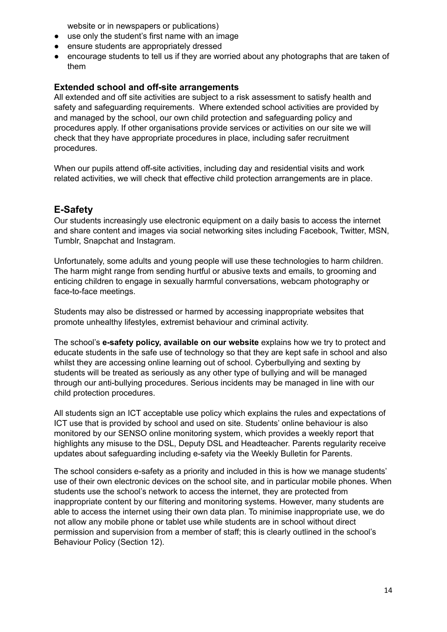website or in newspapers or publications)

- use only the student's first name with an image
- ensure students are appropriately dressed
- encourage students to tell us if they are worried about any photographs that are taken of them

# **Extended school and off-site arrangements**

All extended and off site activities are subject to a risk assessment to satisfy health and safety and safeguarding requirements. Where extended school activities are provided by and managed by the school, our own child protection and safeguarding policy and procedures apply. If other organisations provide services or activities on our site we will check that they have appropriate procedures in place, including safer recruitment procedures.

When our pupils attend off-site activities, including day and residential visits and work related activities, we will check that effective child protection arrangements are in place.

# **E-Safety**

Our students increasingly use electronic equipment on a daily basis to access the internet and share content and images via social networking sites including Facebook, Twitter, MSN, Tumblr, Snapchat and Instagram.

Unfortunately, some adults and young people will use these technologies to harm children. The harm might range from sending hurtful or abusive texts and emails, to grooming and enticing children to engage in sexually harmful conversations, webcam photography or face-to-face meetings.

Students may also be distressed or harmed by accessing inappropriate websites that promote unhealthy lifestyles, extremist behaviour and criminal activity.

The school's **e-safety policy, available on our website** explains how we try to protect and educate students in the safe use of technology so that they are kept safe in school and also whilst they are accessing online learning out of school. Cyberbullying and sexting by students will be treated as seriously as any other type of bullying and will be managed through our anti-bullying procedures. Serious incidents may be managed in line with our child protection procedures.

All students sign an ICT acceptable use policy which explains the rules and expectations of ICT use that is provided by school and used on site. Students' online behaviour is also monitored by our SENSO online monitoring system, which provides a weekly report that highlights any misuse to the DSL, Deputy DSL and Headteacher. Parents regularity receive updates about safeguarding including e-safety via the Weekly Bulletin for Parents.

The school considers e-safety as a priority and included in this is how we manage students' use of their own electronic devices on the school site, and in particular mobile phones. When students use the school's network to access the internet, they are protected from inappropriate content by our filtering and monitoring systems. However, many students are able to access the internet using their own data plan. To minimise inappropriate use, we do not allow any mobile phone or tablet use while students are in school without direct permission and supervision from a member of staff; this is clearly outlined in the school's Behaviour Policy (Section 12).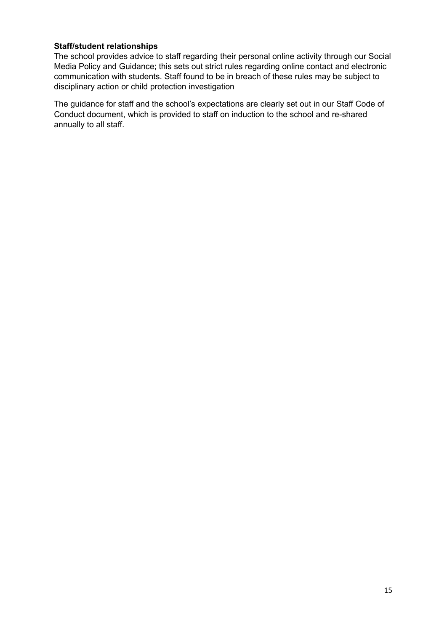# **Staff/student relationships**

The school provides advice to staff regarding their personal online activity through our Social Media Policy and Guidance; this sets out strict rules regarding online contact and electronic communication with students. Staff found to be in breach of these rules may be subject to disciplinary action or child protection investigation

The guidance for staff and the school's expectations are clearly set out in our Staff Code of Conduct document, which is provided to staff on induction to the school and re-shared annually to all staff.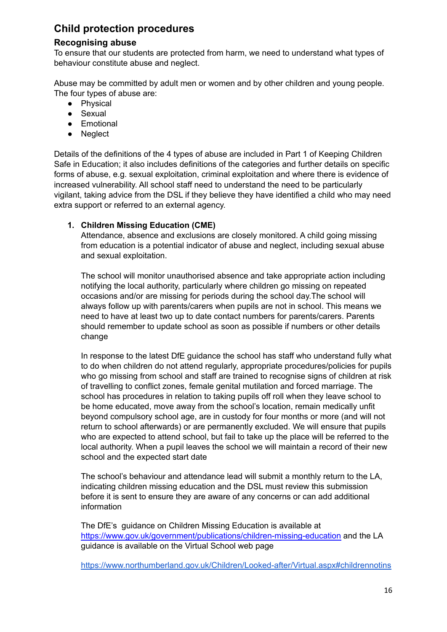# **Child protection procedures**

# **Recognising abuse**

To ensure that our students are protected from harm, we need to understand what types of behaviour constitute abuse and neglect.

Abuse may be committed by adult men or women and by other children and young people. The four types of abuse are:

- Physical
- Sexual
- Emotional
- Neglect

Details of the definitions of the 4 types of abuse are included in Part 1 of Keeping Children Safe in Education; it also includes definitions of the categories and further details on specific forms of abuse, e.g. sexual exploitation, criminal exploitation and where there is evidence of increased vulnerability. All school staff need to understand the need to be particularly vigilant, taking advice from the DSL if they believe they have identified a child who may need extra support or referred to an external agency.

### **1. Children Missing Education (CME)**

Attendance, absence and exclusions are closely monitored. A child going missing from education is a potential indicator of abuse and neglect, including sexual abuse and sexual exploitation.

The school will monitor unauthorised absence and take appropriate action including notifying the local authority, particularly where children go missing on repeated occasions and/or are missing for periods during the school day.The school will always follow up with parents/carers when pupils are not in school. This means we need to have at least two up to date contact numbers for parents/carers. Parents should remember to update school as soon as possible if numbers or other details change

In response to the latest DfE guidance the school has staff who understand fully what to do when children do not attend regularly, appropriate procedures/policies for pupils who go missing from school and staff are trained to recognise signs of children at risk of travelling to conflict zones, female genital mutilation and forced marriage. The school has procedures in relation to taking pupils off roll when they leave school to be home educated, move away from the school's location, remain medically unfit beyond compulsory school age, are in custody for four months or more (and will not return to school afterwards) or are permanently excluded. We will ensure that pupils who are expected to attend school, but fail to take up the place will be referred to the local authority. When a pupil leaves the school we will maintain a record of their new school and the expected start date

The school's behaviour and attendance lead will submit a monthly return to the LA, indicating children missing education and the DSL must review this submission before it is sent to ensure they are aware of any concerns or can add additional information

The DfE's guidance on Children Missing Education is available at <https://www.gov.uk/government/publications/children-missing-education> and the LA guidance is available on the Virtual School web page

[https://www.northumberland.gov.uk/Children/Looked-after/Virtual.aspx#childrennotins](https://www.northumberland.gov.uk/Children/Looked-after/Virtual.aspx#childrennotinschool)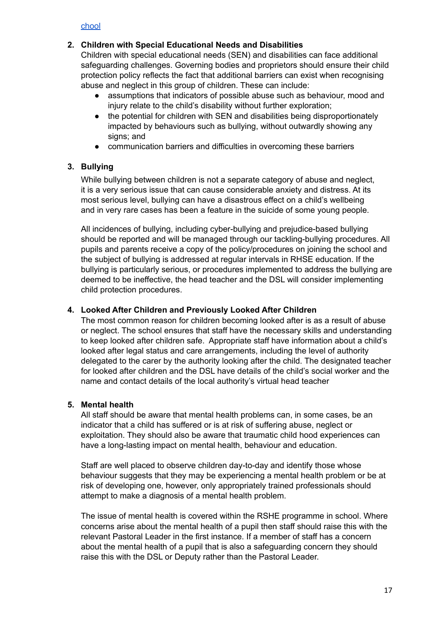[chool](https://www.northumberland.gov.uk/Children/Looked-after/Virtual.aspx#childrennotinschool)

# **2. Children with Special Educational Needs and Disabilities**

Children with special educational needs (SEN) and disabilities can face additional safeguarding challenges. Governing bodies and proprietors should ensure their child protection policy reflects the fact that additional barriers can exist when recognising abuse and neglect in this group of children. These can include:

- assumptions that indicators of possible abuse such as behaviour, mood and injury relate to the child's disability without further exploration;
- the potential for children with SEN and disabilities being disproportionately impacted by behaviours such as bullying, without outwardly showing any signs; and
- communication barriers and difficulties in overcoming these barriers

# **3. Bullying**

While bullying between children is not a separate category of abuse and neglect, it is a very serious issue that can cause considerable anxiety and distress. At its most serious level, bullying can have a disastrous effect on a child's wellbeing and in very rare cases has been a feature in the suicide of some young people.

All incidences of bullying, including cyber-bullying and prejudice-based bullying should be reported and will be managed through our tackling-bullying procedures. All pupils and parents receive a copy of the policy/procedures on joining the school and the subject of bullying is addressed at regular intervals in RHSE education. If the bullying is particularly serious, or procedures implemented to address the bullying are deemed to be ineffective, the head teacher and the DSL will consider implementing child protection procedures.

### **4. Looked After Children and Previously Looked After Children**

The most common reason for children becoming looked after is as a result of abuse or neglect. The school ensures that staff have the necessary skills and understanding to keep looked after children safe. Appropriate staff have information about a child's looked after legal status and care arrangements, including the level of authority delegated to the carer by the authority looking after the child. The designated teacher for looked after children and the DSL have details of the child's social worker and the name and contact details of the local authority's virtual head teacher

### **5. Mental health**

All staff should be aware that mental health problems can, in some cases, be an indicator that a child has suffered or is at risk of suffering abuse, neglect or exploitation. They should also be aware that traumatic child hood experiences can have a long-lasting impact on mental health, behaviour and education.

Staff are well placed to observe children day-to-day and identify those whose behaviour suggests that they may be experiencing a mental health problem or be at risk of developing one, however, only appropriately trained professionals should attempt to make a diagnosis of a mental health problem.

The issue of mental health is covered within the RSHE programme in school. Where concerns arise about the mental health of a pupil then staff should raise this with the relevant Pastoral Leader in the first instance. If a member of staff has a concern about the mental health of a pupil that is also a safeguarding concern they should raise this with the DSL or Deputy rather than the Pastoral Leader.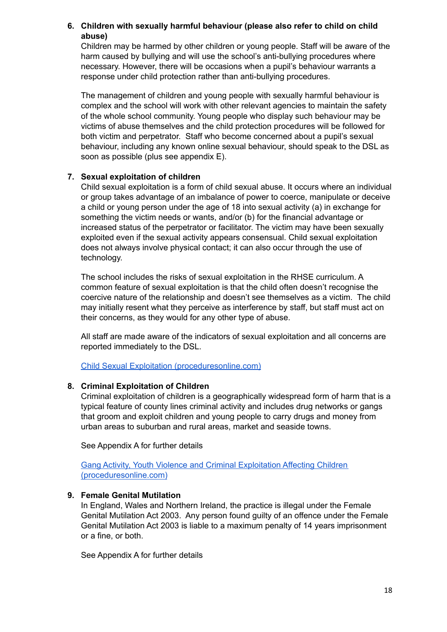# **6. Children with sexually harmful behaviour (please also refer to child on child abuse)**

Children may be harmed by other children or young people. Staff will be aware of the harm caused by bullying and will use the school's anti-bullying procedures where necessary. However, there will be occasions when a pupil's behaviour warrants a response under child protection rather than anti-bullying procedures.

The management of children and young people with sexually harmful behaviour is complex and the school will work with other relevant agencies to maintain the safety of the whole school community. Young people who display such behaviour may be victims of abuse themselves and the child protection procedures will be followed for both victim and perpetrator. Staff who become concerned about a pupil's sexual behaviour, including any known online sexual behaviour, should speak to the DSL as soon as possible (plus see appendix E).

### **7. Sexual exploitation of children**

Child sexual exploitation is a form of child sexual abuse. It occurs where an individual or group takes advantage of an imbalance of power to coerce, manipulate or deceive a child or young person under the age of 18 into sexual activity (a) in exchange for something the victim needs or wants, and/or (b) for the financial advantage or increased status of the perpetrator or facilitator. The victim may have been sexually exploited even if the sexual activity appears consensual. Child sexual exploitation does not always involve physical contact; it can also occur through the use of technology.

The school includes the risks of sexual exploitation in the RHSE curriculum. A common feature of sexual exploitation is that the child often doesn't recognise the coercive nature of the relationship and doesn't see themselves as a victim. The child may initially resent what they perceive as interference by staff, but staff must act on their concerns, as they would for any other type of abuse.

All staff are made aware of the indicators of sexual exploitation and all concerns are reported immediately to the DSL.

Child Sexual Exploitation [\(proceduresonline.com\)](https://www.proceduresonline.com/nesubregion/p_ch_sexual_exploit.html)

# **8. Criminal Exploitation of Children**

Criminal exploitation of children is a geographically widespread form of harm that is a typical feature of county lines criminal activity and includes drug networks or gangs that groom and exploit children and young people to carry drugs and money from urban areas to suburban and rural areas, market and seaside towns.

See Appendix A for further details

Gang Activity, Youth Violence and Criminal [Exploitation](https://www.proceduresonline.com/nesubregion/p_ch_affected_gang_act.html) Affecting Children [\(proceduresonline.com\)](https://www.proceduresonline.com/nesubregion/p_ch_affected_gang_act.html)

# **9. Female Genital Mutilation**

In England, Wales and Northern Ireland, the practice is illegal under the Female Genital Mutilation Act 2003. Any person found guilty of an offence under the Female Genital Mutilation Act 2003 is liable to a maximum penalty of 14 years imprisonment or a fine, or both.

See Appendix A for further details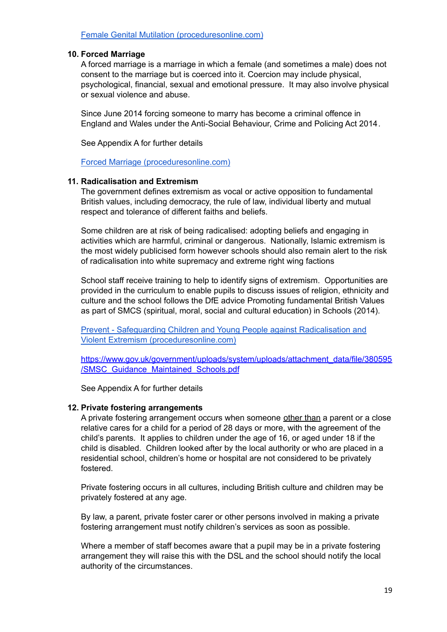### Female Genital Mutilation [\(proceduresonline.com\)](https://www.proceduresonline.com/nesubregion/p_fem_gen_mutil.html)

#### **10. Forced Marriage**

A forced marriage is a marriage in which a female (and sometimes a male) does not consent to the marriage but is coerced into it. Coercion may include physical, psychological, financial, sexual and emotional pressure. It may also involve physical or sexual violence and abuse.

Since June 2014 forcing someone to marry has become a criminal offence in England and Wales under the Anti-Social Behaviour, Crime and Policing Act 2014*.*

See Appendix A for further details

Forced Marriage [\(proceduresonline.com\)](https://www.proceduresonline.com/nesubregion/p_force_marriage.html)

#### **11. Radicalisation and Extremism**

The government defines extremism as vocal or active opposition to fundamental British values, including democracy, the rule of law, individual liberty and mutual respect and tolerance of different faiths and beliefs.

Some children are at risk of being radicalised: adopting beliefs and engaging in activities which are harmful, criminal or dangerous. Nationally, Islamic extremism is the most widely publicised form however schools should also remain alert to the risk of radicalisation into white supremacy and extreme right wing factions

School staff receive training to help to identify signs of extremism. Opportunities are provided in the curriculum to enable pupils to discuss issues of religion, ethnicity and culture and the school follows the DfE advice Promoting fundamental British Values as part of SMCS (spiritual, moral, social and cultural education) in Schools (2014).

Prevent - Safeguarding Children and Young People against [Radicalisation](https://www.proceduresonline.com/nesubregion/p_sg_ch_extremism.html) and Violent Extremism [\(proceduresonline.com\)](https://www.proceduresonline.com/nesubregion/p_sg_ch_extremism.html)

[https://www.gov.uk/government/uploads/system/uploads/attachment\\_data/file/380595](https://www.gov.uk/government/uploads/system/uploads/attachment_data/file/380595/SMSC_Guidance_Maintained_Schools.pdf) [/SMSC\\_Guidance\\_Maintained\\_Schools.pdf](https://www.gov.uk/government/uploads/system/uploads/attachment_data/file/380595/SMSC_Guidance_Maintained_Schools.pdf)

See Appendix A for further details

### **12. Private fostering arrangements**

A private fostering arrangement occurs when someone other than a parent or a close relative cares for a child for a period of 28 days or more, with the agreement of the child's parents. It applies to children under the age of 16, or aged under 18 if the child is disabled. Children looked after by the local authority or who are placed in a residential school, children's home or hospital are not considered to be privately fostered.

Private fostering occurs in all cultures, including British culture and children may be privately fostered at any age.

By law, a parent, private foster carer or other persons involved in making a private fostering arrangement must notify children's services as soon as possible.

Where a member of staff becomes aware that a pupil may be in a private fostering arrangement they will raise this with the DSL and the school should notify the local authority of the circumstances.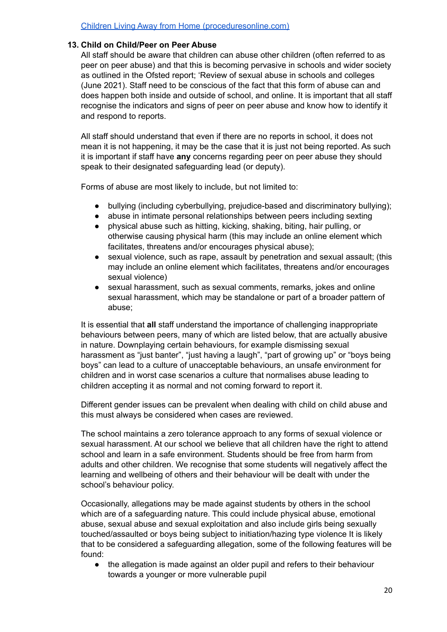### **13. Child on Child/Peer on Peer Abuse**

All staff should be aware that children can abuse other children (often referred to as peer on peer abuse) and that this is becoming pervasive in schools and wider society as outlined in the Ofsted report; 'Review of sexual abuse in schools and colleges (June 2021). Staff need to be conscious of the fact that this form of abuse can and does happen both inside and outside of school, and online. It is important that all staff recognise the indicators and signs of peer on peer abuse and know how to identify it and respond to reports.

All staff should understand that even if there are no reports in school, it does not mean it is not happening, it may be the case that it is just not being reported. As such it is important if staff have **any** concerns regarding peer on peer abuse they should speak to their designated safeguarding lead (or deputy).

Forms of abuse are most likely to include, but not limited to:

- **●** bullying (including cyberbullying, prejudice-based and discriminatory bullying);
- **●** abuse in intimate personal relationships between peers including sexting
- **●** physical abuse such as hitting, kicking, shaking, biting, hair pulling, or otherwise causing physical harm (this may include an online element which facilitates, threatens and/or encourages physical abuse);
- **●** sexual violence, such as rape, assault by penetration and sexual assault; (this may include an online element which facilitates, threatens and/or encourages sexual violence)
- sexual harassment, such as sexual comments, remarks, jokes and online sexual harassment, which may be standalone or part of a broader pattern of abuse;

It is essential that **all** staff understand the importance of challenging inappropriate behaviours between peers, many of which are listed below, that are actually abusive in nature. Downplaying certain behaviours, for example dismissing sexual harassment as "just banter", "just having a laugh", "part of growing up" or "boys being boys" can lead to a culture of unacceptable behaviours, an unsafe environment for children and in worst case scenarios a culture that normalises abuse leading to children accepting it as normal and not coming forward to report it.

Different gender issues can be prevalent when dealing with child on child abuse and this must always be considered when cases are reviewed.

The school maintains a zero tolerance approach to any forms of sexual violence or sexual harassment. At our school we believe that all children have the right to attend school and learn in a safe environment. Students should be free from harm from adults and other children. We recognise that some students will negatively affect the learning and wellbeing of others and their behaviour will be dealt with under the school's behaviour policy.

Occasionally, allegations may be made against students by others in the school which are of a safeguarding nature. This could include physical abuse, emotional abuse, sexual abuse and sexual exploitation and also include girls being sexually touched/assaulted or boys being subject to initiation/hazing type violence It is likely that to be considered a safeguarding allegation, some of the following features will be found:

● the allegation is made against an older pupil and refers to their behaviour towards a younger or more vulnerable pupil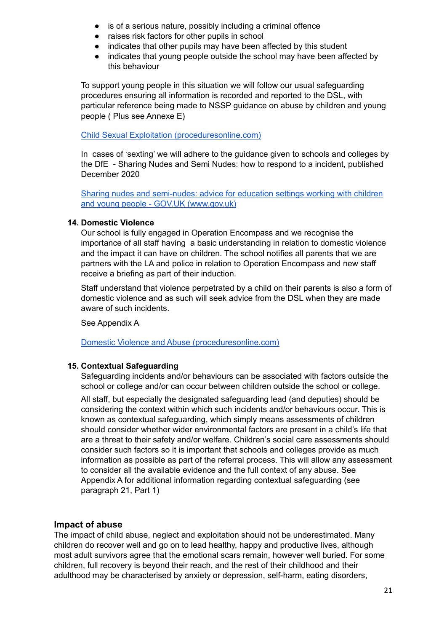- is of a serious nature, possibly including a criminal offence
- raises risk factors for other pupils in school
- indicates that other pupils may have been affected by this student
- indicates that young people outside the school may have been affected by this behaviour

To support young people in this situation we will follow our usual safeguarding procedures ensuring all information is recorded and reported to the DSL, with particular reference being made to NSSP guidance on abuse by children and young people ( Plus see Annexe E)

### Child Sexual Exploitation [\(proceduresonline.com\)](https://www.proceduresonline.com/nesubregion/p_ch_sexual_exploit.html)

In cases of 'sexting' we will adhere to the guidance given to schools and colleges by the DfE - Sharing Nudes and Semi Nudes: how to respond to a incident, published December 2020

Sharing nudes and [semi-nudes:](https://www.gov.uk/government/publications/sharing-nudes-and-semi-nudes-advice-for-education-settings-working-with-children-and-young-people) advice for education settings working with children and young people - GOV.UK [\(www.gov.uk\)](https://www.gov.uk/government/publications/sharing-nudes-and-semi-nudes-advice-for-education-settings-working-with-children-and-young-people)

### **14. Domestic Violence**

Our school is fully engaged in Operation Encompass and we recognise the importance of all staff having a basic understanding in relation to domestic violence and the impact it can have on children. The school notifies all parents that we are partners with the LA and police in relation to Operation Encompass and new staff receive a briefing as part of their induction.

Staff understand that violence perpetrated by a child on their parents is also a form of domestic violence and as such will seek advice from the DSL when they are made aware of such incidents.

See Appendix A

Domestic Violence and Abuse [\(proceduresonline.com\)](https://www.proceduresonline.com/nesubregion/p_dom_viol_abuse.html)

# **15. Contextual Safeguarding**

Safeguarding incidents and/or behaviours can be associated with factors outside the school or college and/or can occur between children outside the school or college.

All staff, but especially the designated safeguarding lead (and deputies) should be considering the context within which such incidents and/or behaviours occur. This is known as contextual safeguarding, which simply means assessments of children should consider whether wider environmental factors are present in a child's life that are a threat to their safety and/or welfare. Children's social care assessments should consider such factors so it is important that schools and colleges provide as much information as possible as part of the referral process. This will allow any assessment to consider all the available evidence and the full context of any abuse. See Appendix A for additional information regarding contextual safeguarding (see paragraph 21, Part 1)

# **Impact of abuse**

The impact of child abuse, neglect and exploitation should not be underestimated. Many children do recover well and go on to lead healthy, happy and productive lives, although most adult survivors agree that the emotional scars remain, however well buried. For some children, full recovery is beyond their reach, and the rest of their childhood and their adulthood may be characterised by anxiety or depression, self-harm, eating disorders,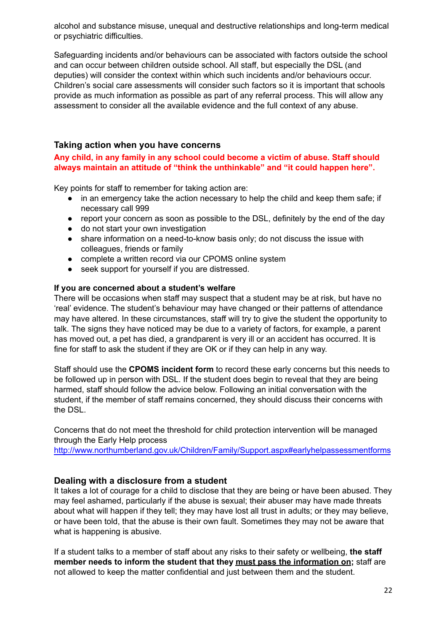alcohol and substance misuse, unequal and destructive relationships and long-term medical or psychiatric difficulties.

Safeguarding incidents and/or behaviours can be associated with factors outside the school and can occur between children outside school. All staff, but especially the DSL (and deputies) will consider the context within which such incidents and/or behaviours occur. Children's social care assessments will consider such factors so it is important that schools provide as much information as possible as part of any referral process. This will allow any assessment to consider all the available evidence and the full context of any abuse.

# **Taking action when you have concerns**

**Any child, in any family in any school could become a victim of abuse. Staff should always maintain an attitude of "think the unthinkable" and "it could happen here".**

Key points for staff to remember for taking action are:

- in an emergency take the action necessary to help the child and keep them safe; if necessary call 999
- report your concern as soon as possible to the DSL, definitely by the end of the day
- do not start your own investigation
- share information on a need-to-know basis only; do not discuss the issue with colleagues, friends or family
- complete a written record via our CPOMS online system
- seek support for yourself if you are distressed.

#### **If you are concerned about a student's welfare**

There will be occasions when staff may suspect that a student may be at risk, but have no 'real' evidence. The student's behaviour may have changed or their patterns of attendance may have altered. In these circumstances, staff will try to give the student the opportunity to talk. The signs they have noticed may be due to a variety of factors, for example, a parent has moved out, a pet has died, a grandparent is very ill or an accident has occurred. It is fine for staff to ask the student if they are OK or if they can help in any way.

Staff should use the **CPOMS incident form** to record these early concerns but this needs to be followed up in person with DSL. If the student does begin to reveal that they are being harmed, staff should follow the advice below. Following an initial conversation with the student, if the member of staff remains concerned, they should discuss their concerns with the DSL.

Concerns that do not meet the threshold for child protection intervention will be managed through the Early Help process

<http://www.northumberland.gov.uk/Children/Family/Support.aspx#earlyhelpassessmentforms>

### **Dealing with a disclosure from a student**

It takes a lot of courage for a child to disclose that they are being or have been abused. They may feel ashamed, particularly if the abuse is sexual; their abuser may have made threats about what will happen if they tell; they may have lost all trust in adults; or they may believe, or have been told, that the abuse is their own fault. Sometimes they may not be aware that what is happening is abusive.

If a student talks to a member of staff about any risks to their safety or wellbeing, **the staff member needs to inform the student that they must pass the information on;** staff are not allowed to keep the matter confidential and just between them and the student.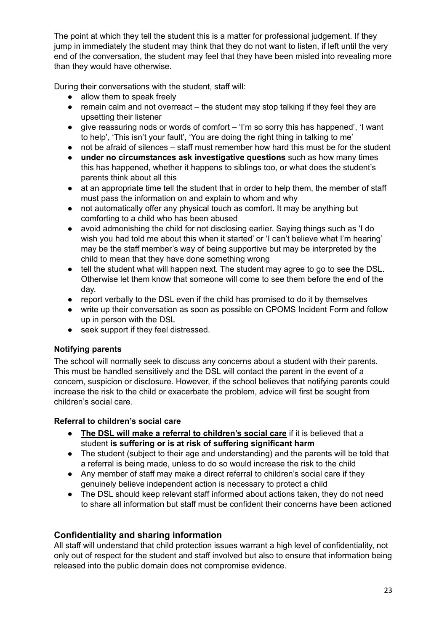The point at which they tell the student this is a matter for professional judgement. If they jump in immediately the student may think that they do not want to listen, if left until the very end of the conversation, the student may feel that they have been misled into revealing more than they would have otherwise.

During their conversations with the student, staff will:

- allow them to speak freely
- $\bullet$  remain calm and not overreact the student may stop talking if they feel they are upsetting their listener
- give reassuring nods or words of comfort 'I'm so sorry this has happened', 'I want to help', 'This isn't your fault', 'You are doing the right thing in talking to me'
- not be afraid of silences staff must remember how hard this must be for the student
- **under no circumstances ask investigative questions** such as how many times this has happened, whether it happens to siblings too, or what does the student's parents think about all this
- at an appropriate time tell the student that in order to help them, the member of staff must pass the information on and explain to whom and why
- not automatically offer any physical touch as comfort. It may be anything but comforting to a child who has been abused
- avoid admonishing the child for not disclosing earlier. Saying things such as 'I do wish you had told me about this when it started' or 'I can't believe what I'm hearing' may be the staff member's way of being supportive but may be interpreted by the child to mean that they have done something wrong
- tell the student what will happen next. The student may agree to go to see the DSL. Otherwise let them know that someone will come to see them before the end of the day.
- report verbally to the DSL even if the child has promised to do it by themselves
- write up their conversation as soon as possible on CPOMS Incident Form and follow up in person with the DSL
- seek support if they feel distressed.

# **Notifying parents**

The school will normally seek to discuss any concerns about a student with their parents. This must be handled sensitively and the DSL will contact the parent in the event of a concern, suspicion or disclosure. However, if the school believes that notifying parents could increase the risk to the child or exacerbate the problem, advice will first be sought from children's social care.

# **Referral to children's social care**

- **The DSL will make a referral to children's social care** if it is believed that a student **is suffering or is at risk of suffering significant harm**
- The student (subject to their age and understanding) and the parents will be told that a referral is being made, unless to do so would increase the risk to the child
- Any member of staff may make a direct referral to children's social care if they genuinely believe independent action is necessary to protect a child
- The DSL should keep relevant staff informed about actions taken, they do not need to share all information but staff must be confident their concerns have been actioned

# **Confidentiality and sharing information**

All staff will understand that child protection issues warrant a high level of confidentiality, not only out of respect for the student and staff involved but also to ensure that information being released into the public domain does not compromise evidence.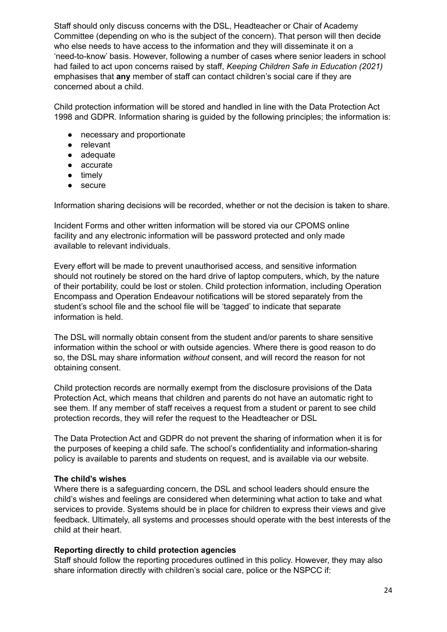Staff should only discuss concerns with the DSL, Headteacher or Chair of Academy Committee (depending on who is the subject of the concern). That person will then decide who else needs to have access to the information and they will disseminate it on a 'need-to-know' basis. However, following a number of cases where senior leaders in school had failed to act upon concerns raised by staff, *Keeping Children Safe in Education (2021)* emphasises that **any** member of staff can contact children's social care if they are concerned about a child.

Child protection information will be stored and handled in line with the Data Protection Act 1998 and GDPR. Information sharing is guided by the following principles; the information is:

- necessary and proportionate
- relevant
- adequate
- accurate
- timely
- secure

Information sharing decisions will be recorded, whether or not the decision is taken to share.

Incident Forms and other written information will be stored via our CPOMS online facility and any electronic information will be password protected and only made available to relevant individuals.

Every effort will be made to prevent unauthorised access, and sensitive information should not routinely be stored on the hard drive of laptop computers, which, by the nature of their portability, could be lost or stolen. Child protection information, including Operation Encompass and Operation Endeavour notifications will be stored separately from the student's school file and the school file will be 'tagged' to indicate that separate information is held.

The DSL will normally obtain consent from the student and/or parents to share sensitive information within the school or with outside agencies. Where there is good reason to do so, the DSL may share information *without* consent, and will record the reason for not obtaining consent.

Child protection records are normally exempt from the disclosure provisions of the Data Protection Act, which means that children and parents do not have an automatic right to see them. If any member of staff receives a request from a student or parent to see child protection records, they will refer the request to the Headteacher or DSL

The Data Protection Act and GDPR do not prevent the sharing of information when it is for the purposes of keeping a child safe. The school's confidentiality and information-sharing policy is available to parents and students on request, and is available via our website.

### **The child's wishes**

Where there is a safeguarding concern, the DSL and school leaders should ensure the child's wishes and feelings are considered when determining what action to take and what services to provide. Systems should be in place for children to express their views and give feedback. Ultimately, all systems and processes should operate with the best interests of the child at their heart.

### **Reporting directly to child protection agencies**

Staff should follow the reporting procedures outlined in this policy. However, they may also share information directly with children's social care, police or the NSPCC if: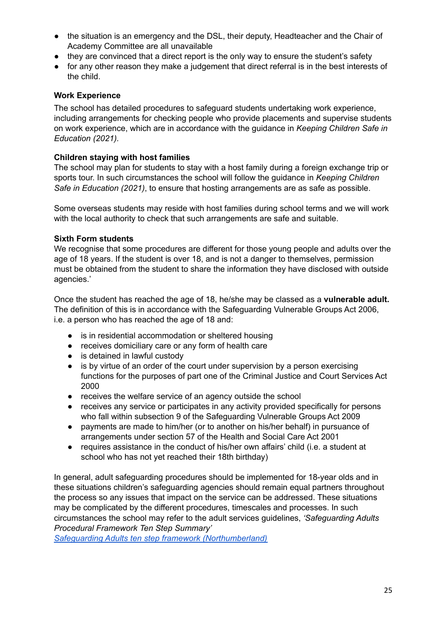- the situation is an emergency and the DSL, their deputy, Headteacher and the Chair of Academy Committee are all unavailable
- they are convinced that a direct report is the only way to ensure the student's safety
- for any other reason they make a judgement that direct referral is in the best interests of the child.

### **Work Experience**

The school has detailed procedures to safeguard students undertaking work experience, including arrangements for checking people who provide placements and supervise students on work experience, which are in accordance with the guidance in *Keeping Children Safe in Education (2021).*

### **Children staying with host families**

The school may plan for students to stay with a host family during a foreign exchange trip or sports tour. In such circumstances the school will follow the guidance in *Keeping Children Safe in Education (2021)*, to ensure that hosting arrangements are as safe as possible.

Some overseas students may reside with host families during school terms and we will work with the local authority to check that such arrangements are safe and suitable.

### **Sixth Form students**

We recognise that some procedures are different for those young people and adults over the age of 18 years. If the student is over 18, and is not a danger to themselves, permission must be obtained from the student to share the information they have disclosed with outside agencies.'

Once the student has reached the age of 18, he/she may be classed as a **vulnerable adult.** The definition of this is in accordance with the Safeguarding Vulnerable Groups Act 2006, i.e. a person who has reached the age of 18 and:

- is in residential accommodation or sheltered housing
- receives domiciliary care or any form of health care
- is detained in lawful custody
- is by virtue of an order of the court under supervision by a person exercising functions for the purposes of part one of the Criminal Justice and Court Services Act 2000
- receives the welfare service of an agency outside the school
- receives any service or participates in any activity provided specifically for persons who fall within subsection 9 of the Safeguarding Vulnerable Groups Act 2009
- payments are made to him/her (or to another on his/her behalf) in pursuance of arrangements under section 57 of the Health and Social Care Act 2001
- requires assistance in the conduct of his/her own affairs' child (i.e. a student at school who has not yet reached their 18th birthday)

In general, adult safeguarding procedures should be implemented for 18-year olds and in these situations children's safeguarding agencies should remain equal partners throughout the process so any issues that impact on the service can be addressed. These situations may be complicated by the different procedures, timescales and processes. In such circumstances the school may refer to the adult services guidelines, *'Safeguarding Adults Procedural Framework Ten Step Summary'*

*Safeguarding Adults ten step framework [\(Northumberland\)](https://www.northumberland.gov.uk/NorthumberlandCountyCouncil/media/Health-and-social-care/Care%20support%20for%20adults/safeguarding%20adults/10-Step-Framework-Chart-Updated-Oct-2018-15-02-19.pdf)*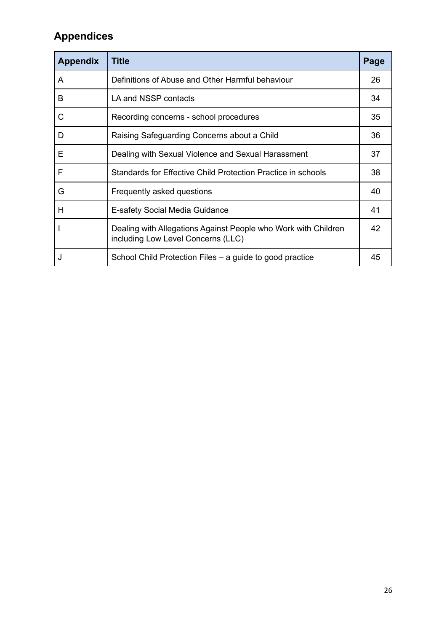# **Appendices**

| <b>Appendix</b> | <b>Title</b>                                                                                         | Page |
|-----------------|------------------------------------------------------------------------------------------------------|------|
| A               | Definitions of Abuse and Other Harmful behaviour                                                     | 26   |
| B               | LA and NSSP contacts                                                                                 | 34   |
| C               | Recording concerns - school procedures                                                               | 35   |
| D               | Raising Safeguarding Concerns about a Child                                                          | 36   |
| Е               | Dealing with Sexual Violence and Sexual Harassment                                                   | 37   |
| F               | Standards for Effective Child Protection Practice in schools                                         | 38   |
| G               | Frequently asked questions                                                                           | 40   |
| Н               | <b>E-safety Social Media Guidance</b>                                                                | 41   |
|                 | Dealing with Allegations Against People who Work with Children<br>including Low Level Concerns (LLC) | 42   |
|                 | School Child Protection Files – a guide to good practice                                             | 45   |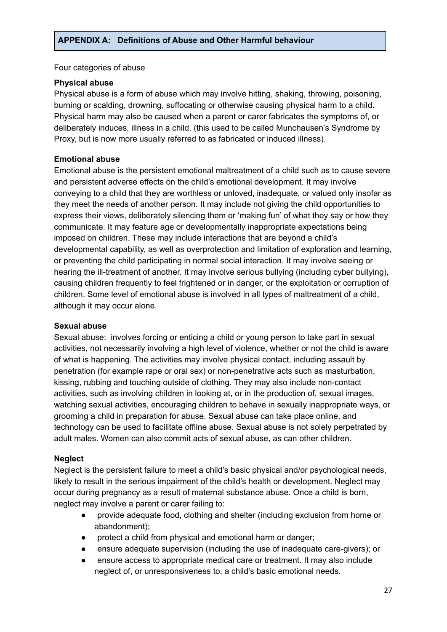Four categories of abuse

#### **Physical abuse**

Physical abuse is a form of abuse which may involve hitting, shaking, throwing, poisoning, burning or scalding, drowning, suffocating or otherwise causing physical harm to a child. Physical harm may also be caused when a parent or carer fabricates the symptoms of, or deliberately induces, illness in a child. (this used to be called Munchausen's Syndrome by Proxy, but is now more usually referred to as fabricated or induced illness).

### **Emotional abuse**

Emotional abuse is the persistent emotional maltreatment of a child such as to cause severe and persistent adverse effects on the child's emotional development. It may involve conveying to a child that they are worthless or unloved, inadequate, or valued only insofar as they meet the needs of another person. It may include not giving the child opportunities to express their views, deliberately silencing them or 'making fun' of what they say or how they communicate. It may feature age or developmentally inappropriate expectations being imposed on children. These may include interactions that are beyond a child's developmental capability, as well as overprotection and limitation of exploration and learning, or preventing the child participating in normal social interaction. It may involve seeing or hearing the ill-treatment of another. It may involve serious bullying (including cyber bullying), causing children frequently to feel frightened or in danger, or the exploitation or corruption of children. Some level of emotional abuse is involved in all types of maltreatment of a child, although it may occur alone.

#### **Sexual abuse**

Sexual abuse: involves forcing or enticing a child or young person to take part in sexual activities, not necessarily involving a high level of violence, whether or not the child is aware of what is happening. The activities may involve physical contact, including assault by penetration (for example rape or oral sex) or non-penetrative acts such as masturbation, kissing, rubbing and touching outside of clothing. They may also include non-contact activities, such as involving children in looking at, or in the production of, sexual images, watching sexual activities, encouraging children to behave in sexually inappropriate ways, or grooming a child in preparation for abuse. Sexual abuse can take place online, and technology can be used to facilitate offline abuse. Sexual abuse is not solely perpetrated by adult males. Women can also commit acts of sexual abuse, as can other children.

### **Neglect**

Neglect is the persistent failure to meet a child's basic physical and/or psychological needs, likely to result in the serious impairment of the child's health or development. Neglect may occur during pregnancy as a result of maternal substance abuse. Once a child is born, neglect may involve a parent or carer failing to:

- provide adequate food, clothing and shelter (including exclusion from home or abandonment);
- protect a child from physical and emotional harm or danger;
- ensure adequate supervision (including the use of inadequate care-givers); or
- ensure access to appropriate medical care or treatment. It may also include neglect of, or unresponsiveness to, a child's basic emotional needs.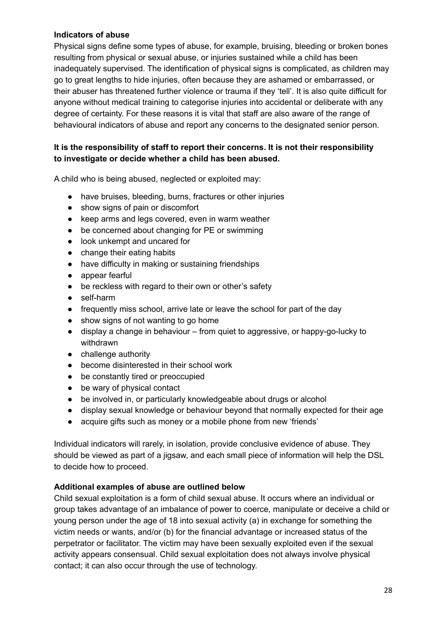# **Indicators of abuse**

Physical signs define some types of abuse, for example, bruising, bleeding or broken bones resulting from physical or sexual abuse, or injuries sustained while a child has been inadequately supervised. The identification of physical signs is complicated, as children may go to great lengths to hide injuries, often because they are ashamed or embarrassed, or their abuser has threatened further violence or trauma if they 'tell'. It is also quite difficult for anyone without medical training to categorise injuries into accidental or deliberate with any degree of certainty. For these reasons it is vital that staff are also aware of the range of behavioural indicators of abuse and report any concerns to the designated senior person.

# **It is the responsibility of staff to report their concerns. It is not their responsibility to investigate or decide whether a child has been abused.**

A child who is being abused, neglected or exploited may:

- have bruises, bleeding, burns, fractures or other injuries
- show signs of pain or discomfort
- keep arms and legs covered, even in warm weather
- be concerned about changing for PE or swimming
- look unkempt and uncared for
- change their eating habits
- have difficulty in making or sustaining friendships
- appear fearful
- be reckless with regard to their own or other's safety
- self-harm
- frequently miss school, arrive late or leave the school for part of the day
- show signs of not wanting to go home
- display a change in behaviour from quiet to aggressive, or happy-go-lucky to withdrawn
- challenge authority
- become disinterested in their school work
- be constantly tired or preoccupied
- be wary of physical contact
- be involved in, or particularly knowledgeable about drugs or alcohol
- display sexual knowledge or behaviour beyond that normally expected for their age
- acquire gifts such as money or a mobile phone from new 'friends'

Individual indicators will rarely, in isolation, provide conclusive evidence of abuse. They should be viewed as part of a jigsaw, and each small piece of information will help the DSL to decide how to proceed.

### **Additional examples of abuse are outlined below**

Child sexual exploitation is a form of child sexual abuse. It occurs where an individual or group takes advantage of an imbalance of power to coerce, manipulate or deceive a child or young person under the age of 18 into sexual activity (a) in exchange for something the victim needs or wants, and/or (b) for the financial advantage or increased status of the perpetrator or facilitator. The victim may have been sexually exploited even if the sexual activity appears consensual. Child sexual exploitation does not always involve physical contact; it can also occur through the use of technology.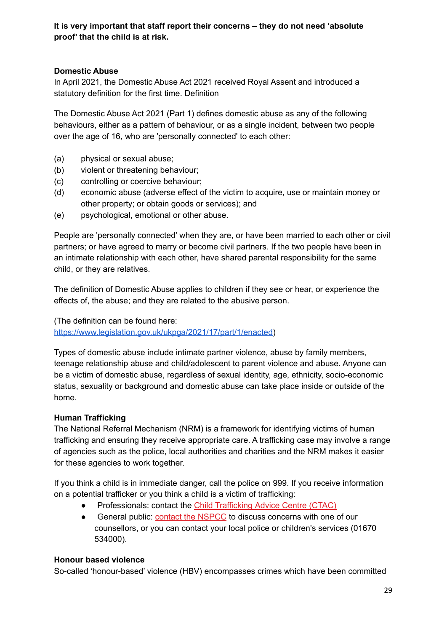**It is very important that staff report their concerns – they do not need 'absolute proof' that the child is at risk.**

# **Domestic Abuse**

In April 2021, the Domestic Abuse Act 2021 received Royal Assent and introduced a statutory definition for the first time. Definition

The Domestic Abuse Act 2021 (Part 1) defines domestic abuse as any of the following behaviours, either as a pattern of behaviour, or as a single incident, between two people over the age of 16, who are 'personally connected' to each other:

- (a) physical or sexual abuse;
- (b) violent or threatening behaviour;
- (c) controlling or coercive behaviour;
- (d) economic abuse (adverse effect of the victim to acquire, use or maintain money or other property; or obtain goods or services); and
- (e) psychological, emotional or other abuse.

People are 'personally connected' when they are, or have been married to each other or civil partners; or have agreed to marry or become civil partners. If the two people have been in an intimate relationship with each other, have shared parental responsibility for the same child, or they are relatives.

The definition of Domestic Abuse applies to children if they see or hear, or experience the effects of, the abuse; and they are related to the abusive person.

(The definition can be found here[:](https://www.legislation.gov.uk/ukpga/2021/17/part/1/enacted) [https://www.legislation.gov.uk/ukpga/2021/17/part/1/enacted\)](https://www.legislation.gov.uk/ukpga/2021/17/part/1/enacted)

Types of domestic abuse include intimate partner violence, abuse by family members, teenage relationship abuse and child/adolescent to parent violence and abuse. Anyone can be a victim of domestic abuse, regardless of sexual identity, age, ethnicity, socio-economic status, sexuality or background and domestic abuse can take place inside or outside of the home.

# **Human Trafficking**

The National Referral Mechanism (NRM) is a framework for identifying victims of human trafficking and ensuring they receive appropriate care. A trafficking case may involve a range of agencies such as the police, local authorities and charities and the NRM makes it easier for these agencies to work together.

If you think a child is in immediate danger, call the police on 999. If you receive information on a potential trafficker or you think a child is a victim of trafficking:

- Professionals: contact the Child [Trafficking](http://www.nspcc.org.uk/services-and-resources/services-for-children-and-families/child-trafficking-advice-centre-ctac/) Advice Centre (CTAC)
- General public: contact the [NSPCC](http://www.nspcc.org.uk/services-and-resources/nspcc-helpline/) to discuss concerns with one of our counsellors, or you can contact your local police or children's services (01670 534000).

# **Honour based violence**

So-called 'honour-based' violence (HBV) encompasses crimes which have been committed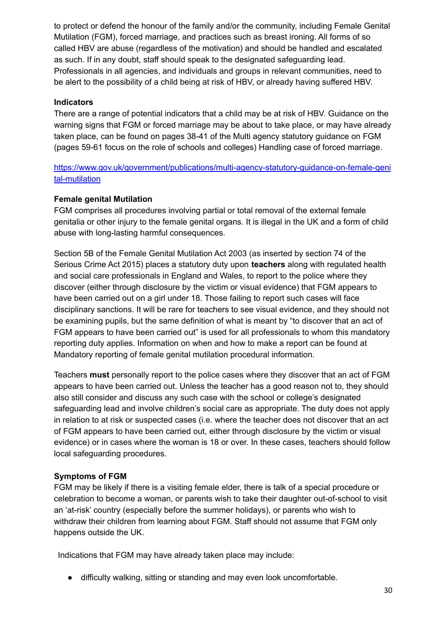to protect or defend the honour of the family and/or the community, including Female Genital Mutilation (FGM), forced marriage, and practices such as breast ironing. All forms of so called HBV are abuse (regardless of the motivation) and should be handled and escalated as such. If in any doubt, staff should speak to the designated safeguarding lead. Professionals in all agencies, and individuals and groups in relevant communities, need to be alert to the possibility of a child being at risk of HBV, or already having suffered HBV.

# **Indicators**

There are a range of potential indicators that a child may be at risk of HBV. Guidance on the warning signs that FGM or forced marriage may be about to take place, or may have already taken place, can be found on pages 38-41 of the Multi agency statutory guidance on FGM (pages 59-61 focus on the role of schools and colleges) Handling case of forced marriage.

[https://www.gov.uk/government/publications/multi-agency-statutory-guidance-on-female-geni](https://www.gov.uk/government/publications/multi-agency-statutory-guidance-on-female-genital-mutilation) [tal-mutilation](https://www.gov.uk/government/publications/multi-agency-statutory-guidance-on-female-genital-mutilation)

### **Female genital Mutilation**

FGM comprises all procedures involving partial or total removal of the external female genitalia or other injury to the female genital organs. It is illegal in the UK and a form of child abuse with long-lasting harmful consequences.

Section 5B of the Female Genital Mutilation Act 2003 (as inserted by section 74 of the Serious Crime Act 2015) places a statutory duty upon **teachers** along with regulated health and social care professionals in England and Wales, to report to the police where they discover (either through disclosure by the victim or visual evidence) that FGM appears to have been carried out on a girl under 18. Those failing to report such cases will face disciplinary sanctions. It will be rare for teachers to see visual evidence, and they should not be examining pupils, but the same definition of what is meant by "to discover that an act of FGM appears to have been carried out" is used for all professionals to whom this mandatory reporting duty applies. Information on when and how to make a report can be found at Mandatory reporting of female genital mutilation procedural information.

Teachers **must** personally report to the police cases where they discover that an act of FGM appears to have been carried out. Unless the teacher has a good reason not to, they should also still consider and discuss any such case with the school or college's designated safeguarding lead and involve children's social care as appropriate. The duty does not apply in relation to at risk or suspected cases (i.e. where the teacher does not discover that an act of FGM appears to have been carried out, either through disclosure by the victim or visual evidence) or in cases where the woman is 18 or over. In these cases, teachers should follow local safeguarding procedures.

### **Symptoms of FGM**

FGM may be likely if there is a visiting female elder, there is talk of a special procedure or celebration to become a woman, or parents wish to take their daughter out-of-school to visit an 'at-risk' country (especially before the summer holidays), or parents who wish to withdraw their children from learning about FGM. Staff should not assume that FGM only happens outside the UK.

Indications that FGM may have already taken place may include:

● difficulty walking, sitting or standing and may even look uncomfortable.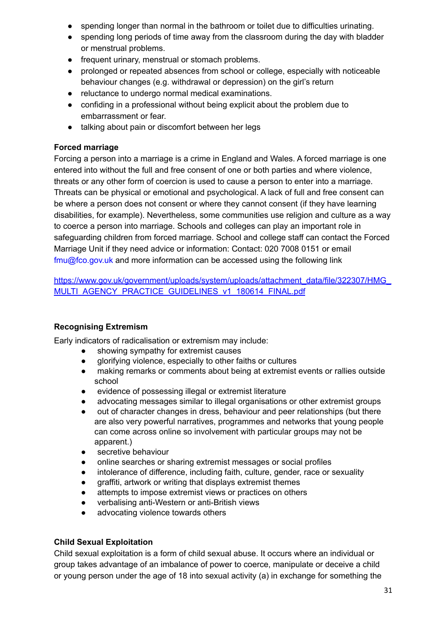- spending longer than normal in the bathroom or toilet due to difficulties urinating.
- spending long periods of time away from the classroom during the day with bladder or menstrual problems.
- frequent urinary, menstrual or stomach problems.
- prolonged or repeated absences from school or college, especially with noticeable behaviour changes (e.g. withdrawal or depression) on the girl's return
- reluctance to undergo normal medical examinations.
- confiding in a professional without being explicit about the problem due to embarrassment or fear.
- talking about pain or discomfort between her legs

# **Forced marriage**

Forcing a person into a marriage is a crime in England and Wales. A forced marriage is one entered into without the full and free consent of one or both parties and where violence, threats or any other form of coercion is used to cause a person to enter into a marriage. Threats can be physical or emotional and psychological. A lack of full and free consent can be where a person does not consent or where they cannot consent (if they have learning disabilities, for example). Nevertheless, some communities use religion and culture as a way to coerce a person into marriage. Schools and colleges can play an important role in safeguarding children from forced marriage. School and college staff can contact the Forced Marriage Unit if they need advice or information: Contact: 020 7008 0151 or email fmu@fco.gov.uk and more information can be accessed using the following link

[https://www.gov.uk/government/uploads/system/uploads/attachment\\_data/file/322307/HMG\\_](https://www.gov.uk/government/uploads/system/uploads/attachment_data/file/322307/HMG_MULTI_AGENCY_PRACTICE_GUIDELINES_v1_180614_FINAL.pdf) [MULTI\\_AGENCY\\_PRACTICE\\_GUIDELINES\\_v1\\_180614\\_FINAL.pdf](https://www.gov.uk/government/uploads/system/uploads/attachment_data/file/322307/HMG_MULTI_AGENCY_PRACTICE_GUIDELINES_v1_180614_FINAL.pdf)

# **Recognising Extremism**

Early indicators of radicalisation or extremism may include:

- showing sympathy for extremist causes
- glorifying violence, especially to other faiths or cultures
- making remarks or comments about being at extremist events or rallies outside school
- evidence of possessing illegal or extremist literature
- advocating messages similar to illegal organisations or other extremist groups
- out of character changes in dress, behaviour and peer relationships (but there are also very powerful narratives, programmes and networks that young people can come across online so involvement with particular groups may not be apparent.)
- **•** secretive behaviour
- online searches or sharing extremist messages or social profiles
- intolerance of difference, including faith, culture, gender, race or sexuality
- araffiti, artwork or writing that displays extremist themes
- attempts to impose extremist views or practices on others
- verbalising anti-Western or anti-British views
- advocating violence towards others

# **Child Sexual Exploitation**

Child sexual exploitation is a form of child sexual abuse. It occurs where an individual or group takes advantage of an imbalance of power to coerce, manipulate or deceive a child or young person under the age of 18 into sexual activity (a) in exchange for something the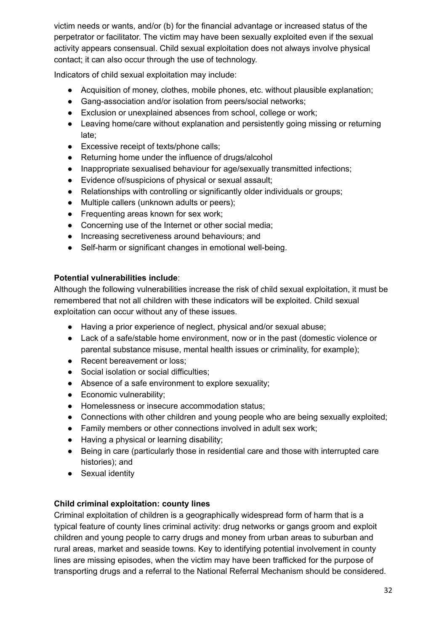victim needs or wants, and/or (b) for the financial advantage or increased status of the perpetrator or facilitator. The victim may have been sexually exploited even if the sexual activity appears consensual. Child sexual exploitation does not always involve physical contact; it can also occur through the use of technology.

Indicators of child sexual exploitation may include:

- Acquisition of money, clothes, mobile phones, etc. without plausible explanation;
- Gang-association and/or isolation from peers/social networks;
- Exclusion or unexplained absences from school, college or work;
- Leaving home/care without explanation and persistently going missing or returning late;
- Excessive receipt of texts/phone calls;
- Returning home under the influence of drugs/alcohol
- Inappropriate sexualised behaviour for age/sexually transmitted infections;
- Evidence of/suspicions of physical or sexual assault;
- Relationships with controlling or significantly older individuals or groups;
- Multiple callers (unknown adults or peers);
- Frequenting areas known for sex work;
- Concerning use of the Internet or other social media;
- Increasing secretiveness around behaviours; and
- Self-harm or significant changes in emotional well-being.

# **Potential vulnerabilities include**:

Although the following vulnerabilities increase the risk of child sexual exploitation, it must be remembered that not all children with these indicators will be exploited. Child sexual exploitation can occur without any of these issues.

- Having a prior experience of neglect, physical and/or sexual abuse;
- Lack of a safe/stable home environment, now or in the past (domestic violence or parental substance misuse, mental health issues or criminality, for example);
- Recent bereavement or loss;
- Social isolation or social difficulties;
- Absence of a safe environment to explore sexuality;
- Economic vulnerability:
- Homelessness or insecure accommodation status;
- Connections with other children and young people who are being sexually exploited;
- Family members or other connections involved in adult sex work;
- Having a physical or learning disability;
- Being in care (particularly those in residential care and those with interrupted care histories); and
- Sexual identity

# **Child criminal exploitation: county lines**

Criminal exploitation of children is a geographically widespread form of harm that is a typical feature of county lines criminal activity: drug networks or gangs groom and exploit children and young people to carry drugs and money from urban areas to suburban and rural areas, market and seaside towns. Key to identifying potential involvement in county lines are missing episodes, when the victim may have been trafficked for the purpose of transporting drugs and a referral to the National Referral Mechanism should be considered.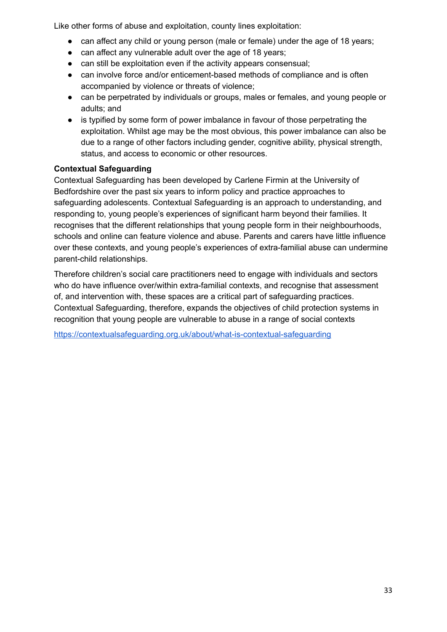Like other forms of abuse and exploitation, county lines exploitation:

- can affect any child or young person (male or female) under the age of 18 years;
- can affect any vulnerable adult over the age of 18 years;
- can still be exploitation even if the activity appears consensual;
- can involve force and/or enticement-based methods of compliance and is often accompanied by violence or threats of violence;
- can be perpetrated by individuals or groups, males or females, and young people or adults; and
- is typified by some form of power imbalance in favour of those perpetrating the exploitation. Whilst age may be the most obvious, this power imbalance can also be due to a range of other factors including gender, cognitive ability, physical strength, status, and access to economic or other resources.

# **Contextual Safeguarding**

Contextual Safeguarding has been developed by Carlene Firmin at the University of Bedfordshire over the past six years to inform policy and practice approaches to safeguarding adolescents. Contextual Safeguarding is an approach to understanding, and responding to, young people's experiences of significant harm beyond their families. It recognises that the different relationships that young people form in their neighbourhoods, schools and online can feature violence and abuse. Parents and carers have little influence over these contexts, and young people's experiences of extra-familial abuse can undermine parent-child relationships.

Therefore children's social care practitioners need to engage with individuals and sectors who do have influence over/within extra-familial contexts, and recognise that assessment of, and intervention with, these spaces are a critical part of safeguarding practices. Contextual Safeguarding, therefore, expands the objectives of child protection systems in recognition that young people are vulnerable to abuse in a range of social contexts

<https://contextualsafeguarding.org.uk/about/what-is-contextual-safeguarding>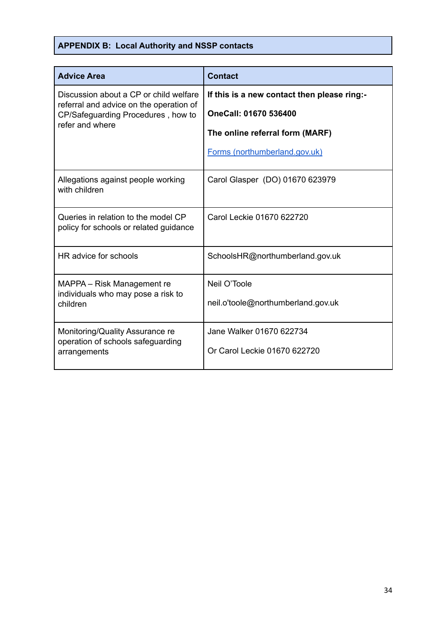# **APPENDIX B: Local Authority and NSSP contacts**

| <b>Advice Area</b>                                                                                                                         | <b>Contact</b>                              |
|--------------------------------------------------------------------------------------------------------------------------------------------|---------------------------------------------|
| Discussion about a CP or child welfare<br>referral and advice on the operation of<br>CP/Safeguarding Procedures, how to<br>refer and where | If this is a new contact then please ring:- |
|                                                                                                                                            | OneCall: 01670 536400                       |
|                                                                                                                                            | The online referral form (MARF)             |
|                                                                                                                                            | Forms (northumberland.gov.uk)               |
| Allegations against people working<br>with children                                                                                        | Carol Glasper (DO) 01670 623979             |
| Queries in relation to the model CP<br>policy for schools or related guidance                                                              | Carol Leckie 01670 622720                   |
| HR advice for schools                                                                                                                      | SchoolsHR@northumberland.gov.uk             |
| MAPPA – Risk Management re<br>individuals who may pose a risk to<br>children                                                               | Neil O'Toole                                |
|                                                                                                                                            | neil.o'toole@northumberland.gov.uk          |
| Monitoring/Quality Assurance re<br>operation of schools safeguarding<br>arrangements                                                       | Jane Walker 01670 622734                    |
|                                                                                                                                            | Or Carol Leckie 01670 622720                |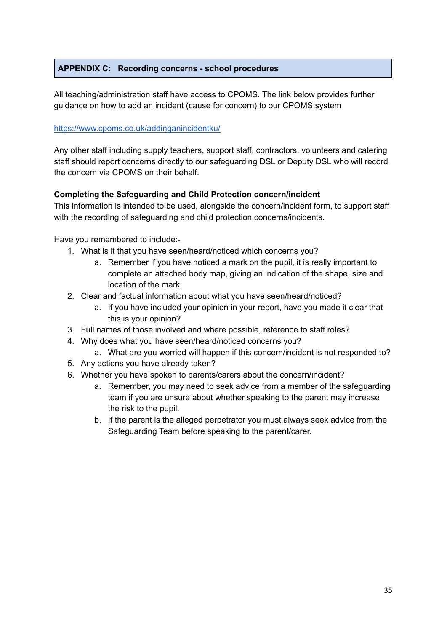# **APPENDIX C: Recording concerns - school procedures**

All teaching/administration staff have access to CPOMS. The link below provides further guidance on how to add an incident (cause for concern) to our CPOMS system

# <https://www.cpoms.co.uk/addinganincidentku/>

Any other staff including supply teachers, support staff, contractors, volunteers and catering staff should report concerns directly to our safeguarding DSL or Deputy DSL who will record the concern via CPOMS on their behalf.

# **Completing the Safeguarding and Child Protection concern/incident**

This information is intended to be used, alongside the concern/incident form, to support staff with the recording of safeguarding and child protection concerns/incidents.

Have you remembered to include:-

- 1. What is it that you have seen/heard/noticed which concerns you?
	- a. Remember if you have noticed a mark on the pupil, it is really important to complete an attached body map, giving an indication of the shape, size and location of the mark.
- 2. Clear and factual information about what you have seen/heard/noticed?
	- a. If you have included your opinion in your report, have you made it clear that this is your opinion?
- 3. Full names of those involved and where possible, reference to staff roles?
- 4. Why does what you have seen/heard/noticed concerns you?
	- a. What are you worried will happen if this concern/incident is not responded to?
- 5. Any actions you have already taken?
- 6. Whether you have spoken to parents/carers about the concern/incident?
	- a. Remember, you may need to seek advice from a member of the safeguarding team if you are unsure about whether speaking to the parent may increase the risk to the pupil.
	- b. If the parent is the alleged perpetrator you must always seek advice from the Safeguarding Team before speaking to the parent/carer.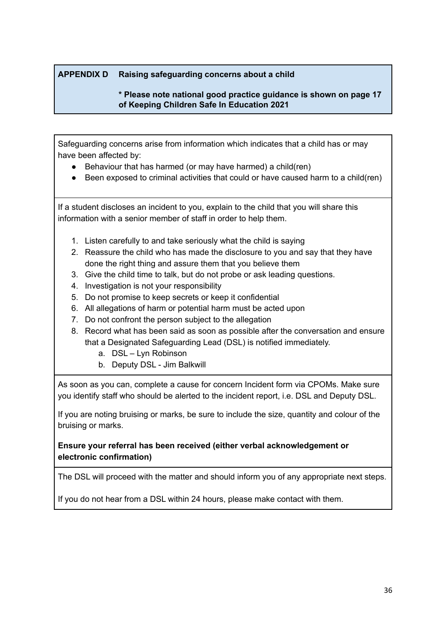# **APPENDIX D Raising safeguarding concerns about a child**

# **\* Please note national good practice guidance is shown on page 17 of Keeping Children Safe In Education 2021**

Safeguarding concerns arise from information which indicates that a child has or may have been affected by:

- Behaviour that has harmed (or may have harmed) a child(ren)
- Been exposed to criminal activities that could or have caused harm to a child(ren)

If a student discloses an incident to you, explain to the child that you will share this information with a senior member of staff in order to help them.

- 1. Listen carefully to and take seriously what the child is saying
- 2. Reassure the child who has made the disclosure to you and say that they have done the right thing and assure them that you believe them
- 3. Give the child time to talk, but do not probe or ask leading questions.
- 4. Investigation is not your responsibility
- 5. Do not promise to keep secrets or keep it confidential
- 6. All allegations of harm or potential harm must be acted upon
- 7. Do not confront the person subject to the allegation
- 8. Record what has been said as soon as possible after the conversation and ensure that a Designated Safeguarding Lead (DSL) is notified immediately.
	- a. DSL Lyn Robinson
	- b. Deputy DSL Jim Balkwill

As soon as you can, complete a cause for concern Incident form via CPOMs. Make sure you identify staff who should be alerted to the incident report, i.e. DSL and Deputy DSL.

If you are noting bruising or marks, be sure to include the size, quantity and colour of the bruising or marks.

# **Ensure your referral has been received (either verbal acknowledgement or electronic confirmation)**

The DSL will proceed with the matter and should inform you of any appropriate next steps.

If you do not hear from a DSL within 24 hours, please make contact with them.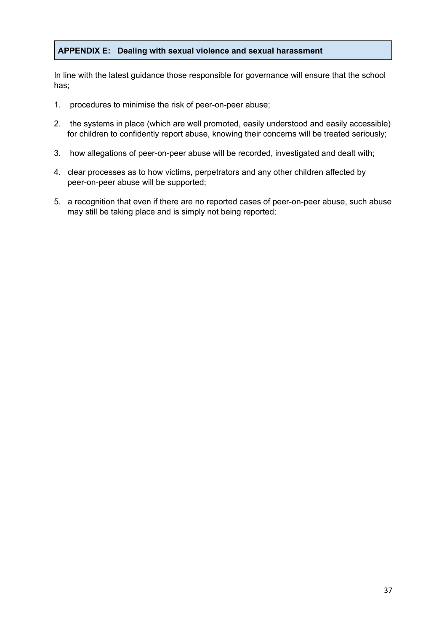### **APPENDIX E: Dealing with sexual violence and sexual harassment**

In line with the latest guidance those responsible for governance will ensure that the school has;

- 1. procedures to minimise the risk of peer-on-peer abuse;
- 2. the systems in place (which are well promoted, easily understood and easily accessible) for children to confidently report abuse, knowing their concerns will be treated seriously;
- 3. how allegations of peer-on-peer abuse will be recorded, investigated and dealt with;
- 4. clear processes as to how victims, perpetrators and any other children affected by peer-on-peer abuse will be supported;
- 5. a recognition that even if there are no reported cases of peer-on-peer abuse, such abuse may still be taking place and is simply not being reported;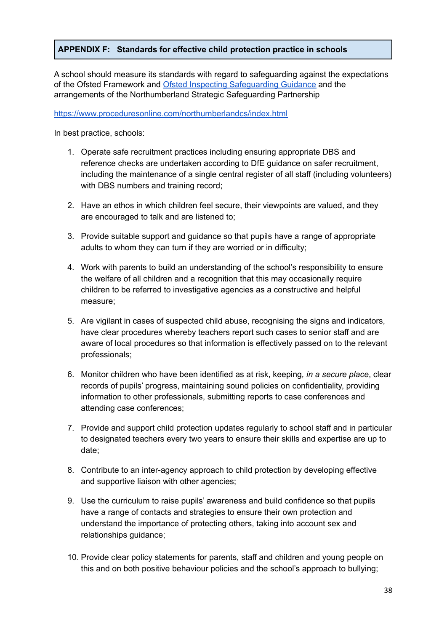# **APPENDIX F: Standards for effective child protection practice in schools**

A school should measure its standards with regard to safeguarding against the expectations of the Ofsted Framework and Ofsted Inspecting [Safeguarding](https://www.gov.uk/government/publications/inspecting-safeguarding-in-early-years-education-and-skills) Guidance and the arrangements of the Northumberland Strategic Safeguarding Partnership

#### <https://www.proceduresonline.com/northumberlandcs/index.html>

In best practice, schools:

- 1. Operate safe recruitment practices including ensuring appropriate DBS and reference checks are undertaken according to DfE guidance on safer recruitment, including the maintenance of a single central register of all staff (including volunteers) with DBS numbers and training record;
- 2. Have an ethos in which children feel secure, their viewpoints are valued, and they are encouraged to talk and are listened to;
- 3. Provide suitable support and guidance so that pupils have a range of appropriate adults to whom they can turn if they are worried or in difficulty;
- 4. Work with parents to build an understanding of the school's responsibility to ensure the welfare of all children and a recognition that this may occasionally require children to be referred to investigative agencies as a constructive and helpful measure;
- 5. Are vigilant in cases of suspected child abuse, recognising the signs and indicators, have clear procedures whereby teachers report such cases to senior staff and are aware of local procedures so that information is effectively passed on to the relevant professionals;
- 6. Monitor children who have been identified as at risk, keeping*, in a secure place*, clear records of pupils' progress, maintaining sound policies on confidentiality, providing information to other professionals, submitting reports to case conferences and attending case conferences;
- 7. Provide and support child protection updates regularly to school staff and in particular to designated teachers every two years to ensure their skills and expertise are up to date;
- 8. Contribute to an inter-agency approach to child protection by developing effective and supportive liaison with other agencies;
- 9. Use the curriculum to raise pupils' awareness and build confidence so that pupils have a range of contacts and strategies to ensure their own protection and understand the importance of protecting others, taking into account sex and relationships guidance;
- 10. Provide clear policy statements for parents, staff and children and young people on this and on both positive behaviour policies and the school's approach to bullying;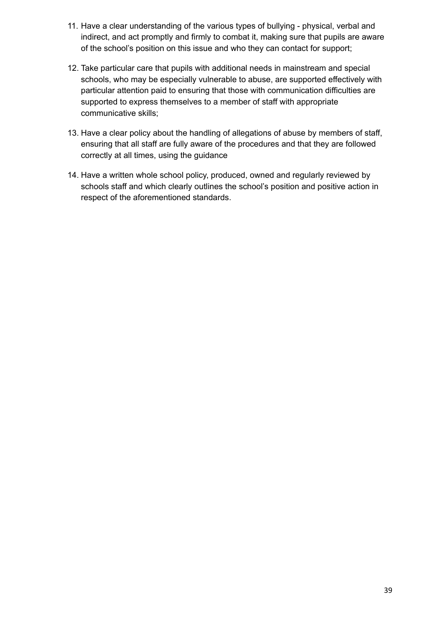- 11. Have a clear understanding of the various types of bullying physical, verbal and indirect, and act promptly and firmly to combat it, making sure that pupils are aware of the school's position on this issue and who they can contact for support;
- 12. Take particular care that pupils with additional needs in mainstream and special schools, who may be especially vulnerable to abuse, are supported effectively with particular attention paid to ensuring that those with communication difficulties are supported to express themselves to a member of staff with appropriate communicative skills;
- 13. Have a clear policy about the handling of allegations of abuse by members of staff, ensuring that all staff are fully aware of the procedures and that they are followed correctly at all times, using the guidance
- 14. Have a written whole school policy, produced, owned and regularly reviewed by schools staff and which clearly outlines the school's position and positive action in respect of the aforementioned standards.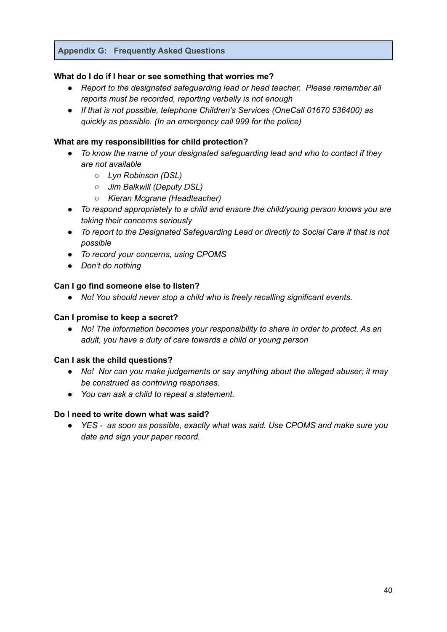### **Appendix G: Frequently Asked Questions**

### **What do I do if I hear or see something that worries me?**

- *● Report to the designated safeguarding lead or head teacher. Please remember all reports must be recorded, reporting verbally is not enough*
- *● If that is not possible, telephone Children's Services (OneCall 01670 536400) as quickly as possible. (In an emergency call 999 for the police)*

### **What are my responsibilities for child protection?**

- *● To know the name of your designated safeguarding lead and who to contact if they are not available*
	- *○ Lyn Robinson (DSL)*
	- *○ Jim Balkwill (Deputy DSL)*
	- *○ Kieran Mcgrane (Headteacher)*
- *● To respond appropriately to a child and ensure the child/young person knows you are taking their concerns seriously*
- *● To report to the Designated Safeguarding Lead or directly to Social Care if that is not possible*
- *● To record your concerns, using CPOMS*
- *● Don't do nothing*

### **Can I go find someone else to listen?**

*● No! You should never stop a child who is freely recalling significant events.*

### **Can I promise to keep a secret?**

*● No! The information becomes your responsibility to share in order to protect. As an adult, you have a duty of care towards a child or young person*

### **Can I ask the child questions?**

- *● No! Nor can you make judgements or say anything about the alleged abuser; it may be construed as contriving responses.*
- *● You can ask a child to repeat a statement.*

### **Do I need to write down what was said?**

*● YES - as soon as possible, exactly what was said. Use CPOMS and make sure you date and sign your paper record.*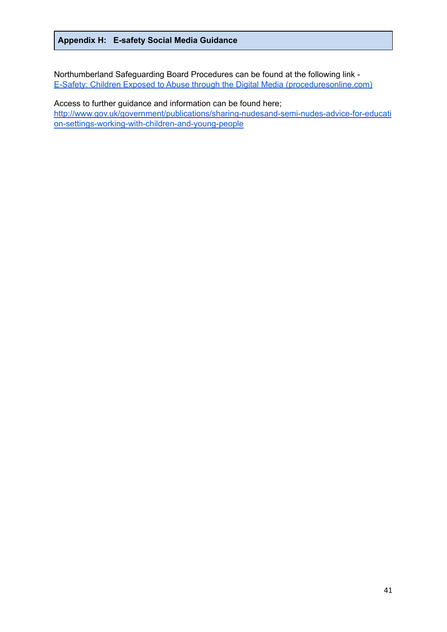### **Appendix H: E-safety Social Media Guidance**

Northumberland Safeguarding Board Procedures can be found at the following link [-](https://www.proceduresonline.com/nesubregion/p_esafety_abuse_dig_media.html) E-Safety: Children Exposed to Abuse through the Digital Media [\(proceduresonline.com\)](https://www.proceduresonline.com/nesubregion/p_esafety_abuse_dig_media.html)

Access to further guidance and information can be found here; [http://www.gov.uk/government/publications/sharing-nudesand-semi-nudes-advice-for-educati](http://www.gov.uk/government/publications/sharing-nudesand-semi-nudes-advice-for-education-settings-working-with-children-and-young-people) [on-settings-working-with-children-and-young-people](http://www.gov.uk/government/publications/sharing-nudesand-semi-nudes-advice-for-education-settings-working-with-children-and-young-people)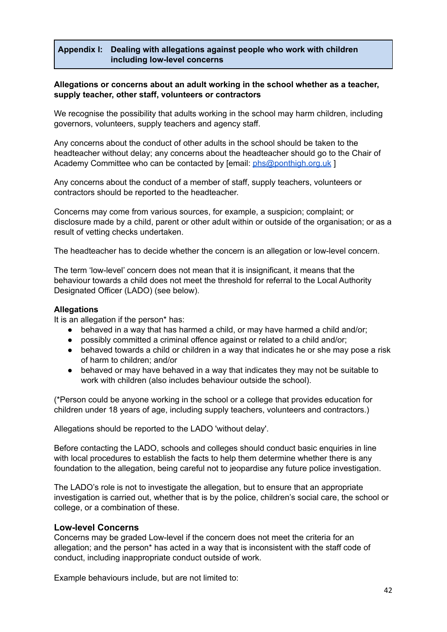# **Appendix I: Dealing with allegations against people who work with children including low-level concerns**

#### **Allegations or concerns about an adult working in the school whether as a teacher, supply teacher, other staff, volunteers or contractors**

We recognise the possibility that adults working in the school may harm children, including governors, volunteers, supply teachers and agency staff.

Any concerns about the conduct of other adults in the school should be taken to the headteacher without delay; any concerns about the headteacher should go to the Chair of Academy Committee who can be contacted by [email: [phs@ponthigh.org.uk](mailto:phs@ponthigh.org.uk) ]

Any concerns about the conduct of a member of staff, supply teachers, volunteers or contractors should be reported to the headteacher.

Concerns may come from various sources, for example, a suspicion; complaint; or disclosure made by a child, parent or other adult within or outside of the organisation; or as a result of vetting checks undertaken.

The headteacher has to decide whether the concern is an allegation or low-level concern.

The term 'low-level' concern does not mean that it is insignificant, it means that the behaviour towards a child does not meet the threshold for referral to the Local Authority Designated Officer (LADO) (see below).

#### **Allegations**

It is an allegation if the person\* has:

- behaved in a way that has harmed a child, or may have harmed a child and/or;
- possibly committed a criminal offence against or related to a child and/or;
- behaved towards a child or children in a way that indicates he or she may pose a risk of harm to children; and/or
- behaved or may have behaved in a way that indicates they may not be suitable to work with children (also includes behaviour outside the school).

(\*Person could be anyone working in the school or a college that provides education for children under 18 years of age, including supply teachers, volunteers and contractors.)

Allegations should be reported to the LADO 'without delay'.

Before contacting the LADO, schools and colleges should conduct basic enquiries in line with local procedures to establish the facts to help them determine whether there is any foundation to the allegation, being careful not to jeopardise any future police investigation.

The LADO's role is not to investigate the allegation, but to ensure that an appropriate investigation is carried out, whether that is by the police, children's social care, the school or college, or a combination of these.

#### **Low-level Concerns**

Concerns may be graded Low-level if the concern does not meet the criteria for an allegation; and the person\* has acted in a way that is inconsistent with the staff code of conduct, including inappropriate conduct outside of work.

Example behaviours include, but are not limited to: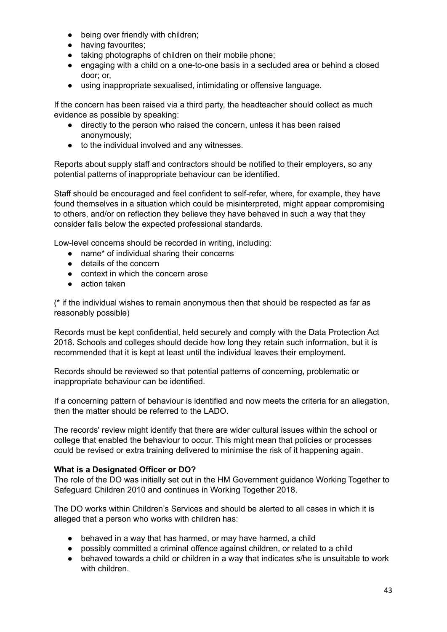- being over friendly with children;
- having favourites;
- taking photographs of children on their mobile phone;
- engaging with a child on a one-to-one basis in a secluded area or behind a closed door; or,
- using inappropriate sexualised, intimidating or offensive language.

If the concern has been raised via a third party, the headteacher should collect as much evidence as possible by speaking:

- directly to the person who raised the concern, unless it has been raised anonymously;
- to the individual involved and any witnesses.

Reports about supply staff and contractors should be notified to their employers, so any potential patterns of inappropriate behaviour can be identified.

Staff should be encouraged and feel confident to self-refer, where, for example, they have found themselves in a situation which could be misinterpreted, might appear compromising to others, and/or on reflection they believe they have behaved in such a way that they consider falls below the expected professional standards.

Low-level concerns should be recorded in writing, including:

- name\* of individual sharing their concerns
- details of the concern
- context in which the concern arose
- action taken

(\* if the individual wishes to remain anonymous then that should be respected as far as reasonably possible)

Records must be kept confidential, held securely and comply with the Data Protection Act 2018. Schools and colleges should decide how long they retain such information, but it is recommended that it is kept at least until the individual leaves their employment.

Records should be reviewed so that potential patterns of concerning, problematic or inappropriate behaviour can be identified.

If a concerning pattern of behaviour is identified and now meets the criteria for an allegation, then the matter should be referred to the LADO.

The records' review might identify that there are wider cultural issues within the school or college that enabled the behaviour to occur. This might mean that policies or processes could be revised or extra training delivered to minimise the risk of it happening again.

# **What is a Designated Officer or DO?**

The role of the DO was initially set out in the HM Government guidance Working Together to Safeguard Children 2010 and continues in Working Together 2018.

The DO works within Children's Services and should be alerted to all cases in which it is alleged that a person who works with children has:

- behaved in a way that has harmed, or may have harmed, a child
- possibly committed a criminal offence against children, or related to a child
- behaved towards a child or children in a way that indicates s/he is unsuitable to work with children.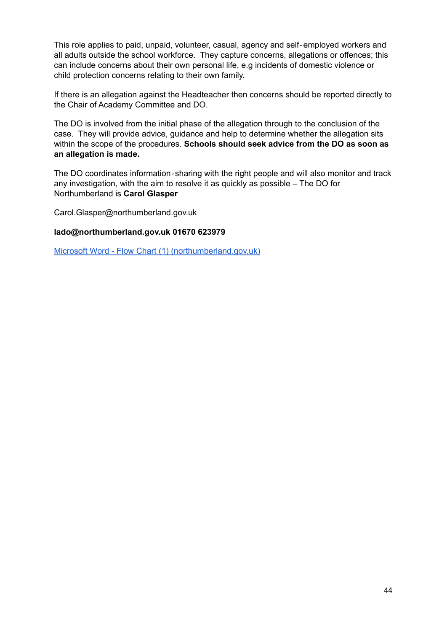This role applies to paid, unpaid, volunteer, casual, agency and self‐employed workers and all adults outside the school workforce. They capture concerns, allegations or offences; this can include concerns about their own personal life, e.g incidents of domestic violence or child protection concerns relating to their own family.

If there is an allegation against the Headteacher then concerns should be reported directly to the Chair of Academy Committee and DO.

The DO is involved from the initial phase of the allegation through to the conclusion of the case. They will provide advice, guidance and help to determine whether the allegation sits within the scope of the procedures. **Schools should seek advice from the DO as soon as an allegation is made.**

The DO coordinates information-sharing with the right people and will also monitor and track any investigation, with the aim to resolve it as quickly as possible – The DO for Northumberland is **Carol Glasper**

Carol.Glasper@northumberland.gov.uk

#### **lado@northumberland.gov.uk 01670 623979**

Microsoft Word - Flow Chart (1) [\(northumberland.gov.uk\)](https://www.northumberland.gov.uk/NorthumberlandCountyCouncil/media/Child-Families/Safeguarding/LADO-referral-process-flow-chart-March-21.pdf)